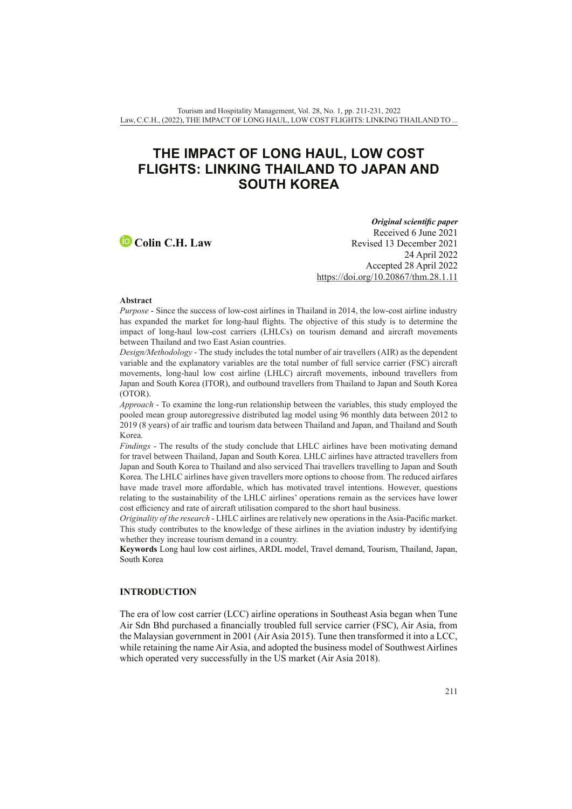# **THE IMPACT OF LONG HAUL, LOW COST FLIGHTS: LINKING THAILAND TO JAPAN AND SOUTH KOREA**

**Colin C.H. Law**

*Original scientific paper* Received 6 June 2021 Revised 13 December 2021 24 April 2022 Accepted 28 April 2022 <https://doi.org/10.20867/thm.28.1.11>

#### **Abstract**

*Purpose* - Since the success of low-cost airlines in Thailand in 2014, the low-cost airline industry has expanded the market for long-haul flights. The objective of this study is to determine the impact of long-haul low-cost carriers (LHLCs) on tourism demand and aircraft movements between Thailand and two East Asian countries.

*Design/Methodology* - The study includes the total number of air travellers (AIR) as the dependent variable and the explanatory variables are the total number of full service carrier (FSC) aircraft movements, long-haul low cost airline (LHLC) aircraft movements, inbound travellers from Japan and South Korea (ITOR), and outbound travellers from Thailand to Japan and South Korea (OTOR).

*Approach* - To examine the long-run relationship between the variables, this study employed the pooled mean group autoregressive distributed lag model using 96 monthly data between 2012 to 2019 (8 years) of air traffic and tourism data between Thailand and Japan, and Thailand and South Korea.

*Findings* - The results of the study conclude that LHLC airlines have been motivating demand for travel between Thailand, Japan and South Korea. LHLC airlines have attracted travellers from Japan and South Korea to Thailand and also serviced Thai travellers travelling to Japan and South Korea. The LHLC airlines have given travellers more options to choose from. The reduced airfares have made travel more affordable, which has motivated travel intentions. However, questions relating to the sustainability of the LHLC airlines' operations remain as the services have lower cost efficiency and rate of aircraft utilisation compared to the short haul business.

*Originality of the research* - LHLC airlines are relatively new operations in the Asia-Pacific market. This study contributes to the knowledge of these airlines in the aviation industry by identifying whether they increase tourism demand in a country.

**Keywords** Long haul low cost airlines, ARDL model, Travel demand, Tourism, Thailand, Japan, South Korea

#### **INTRODUCTION**

The era of low cost carrier (LCC) airline operations in Southeast Asia began when Tune Air Sdn Bhd purchased a financially troubled full service carrier (FSC), Air Asia, from the Malaysian government in 2001 (Air Asia 2015). Tune then transformed it into a LCC, while retaining the name Air Asia, and adopted the business model of Southwest Airlines which operated very successfully in the US market (Air Asia 2018).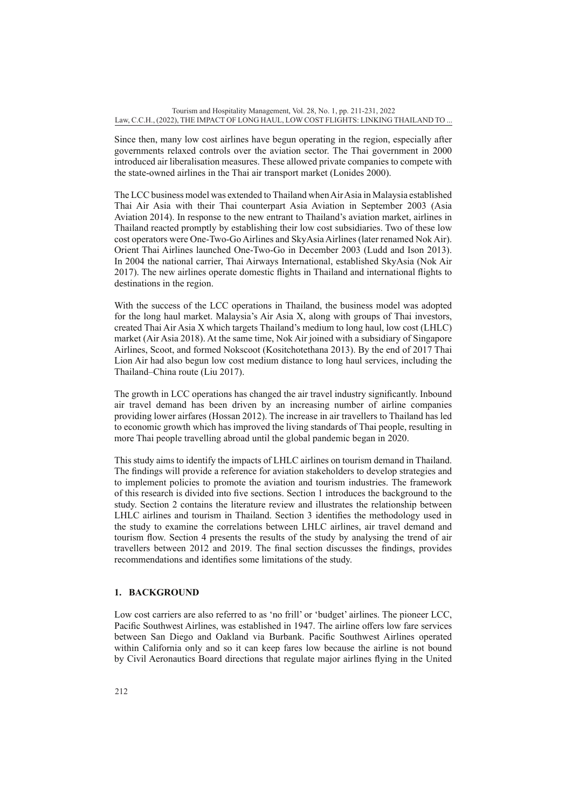Since then, many low cost airlines have begun operating in the region, especially after governments relaxed controls over the aviation sector. The Thai government in 2000 introduced air liberalisation measures. These allowed private companies to compete with the state-owned airlines in the Thai air transport market (Lonides 2000).

The LCC business model was extended to Thailand when Air Asia in Malaysia established Thai Air Asia with their Thai counterpart Asia Aviation in September 2003 (Asia Aviation 2014). In response to the new entrant to Thailand's aviation market, airlines in Thailand reacted promptly by establishing their low cost subsidiaries. Two of these low cost operators were One-Two-Go Airlines and SkyAsia Airlines (later renamed Nok Air). Orient Thai Airlines launched One-Two-Go in December 2003 (Ludd and Ison 2013). In 2004 the national carrier, Thai Airways International, established SkyAsia (Nok Air 2017). The new airlines operate domestic flights in Thailand and international flights to destinations in the region.

With the success of the LCC operations in Thailand, the business model was adopted for the long haul market. Malaysia's Air Asia X, along with groups of Thai investors, created Thai Air Asia X which targets Thailand's medium to long haul, low cost (LHLC) market (Air Asia 2018). At the same time, Nok Air joined with a subsidiary of Singapore Airlines, Scoot, and formed Nokscoot (Kositchotethana 2013). By the end of 2017 Thai Lion Air had also begun low cost medium distance to long haul services, including the Thailand–China route (Liu 2017).

The growth in LCC operations has changed the air travel industry significantly. Inbound air travel demand has been driven by an increasing number of airline companies providing lower airfares (Hossan 2012). The increase in air travellers to Thailand has led to economic growth which has improved the living standards of Thai people, resulting in more Thai people travelling abroad until the global pandemic began in 2020.

This study aims to identify the impacts of LHLC airlines on tourism demand in Thailand. The findings will provide a reference for aviation stakeholders to develop strategies and to implement policies to promote the aviation and tourism industries. The framework of this research is divided into five sections. Section 1 introduces the background to the study. Section 2 contains the literature review and illustrates the relationship between LHLC airlines and tourism in Thailand. Section 3 identifies the methodology used in the study to examine the correlations between LHLC airlines, air travel demand and tourism flow. Section 4 presents the results of the study by analysing the trend of air travellers between 2012 and 2019. The final section discusses the findings, provides recommendations and identifies some limitations of the study.

## **1. BACKGROUND**

Low cost carriers are also referred to as 'no frill' or 'budget' airlines. The pioneer LCC, Pacific Southwest Airlines, was established in 1947. The airline offers low fare services between San Diego and Oakland via Burbank. Pacific Southwest Airlines operated within California only and so it can keep fares low because the airline is not bound by Civil Aeronautics Board directions that regulate major airlines flying in the United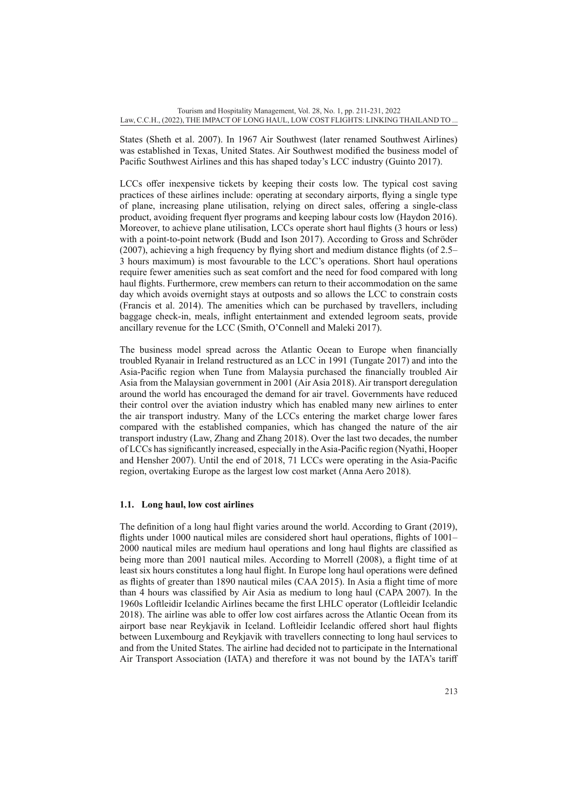States (Sheth et al. 2007). In 1967 Air Southwest (later renamed Southwest Airlines) was established in Texas, United States. Air Southwest modified the business model of Pacific Southwest Airlines and this has shaped today's LCC industry (Guinto 2017).

LCCs offer inexpensive tickets by keeping their costs low. The typical cost saving practices of these airlines include: operating at secondary airports, flying a single type of plane, increasing plane utilisation, relying on direct sales, offering a single-class product, avoiding frequent flyer programs and keeping labour costs low (Haydon 2016). Moreover, to achieve plane utilisation, LCCs operate short haul flights (3 hours or less) with a point-to-point network (Budd and Ison 2017). According to Gross and Schröder (2007), achieving a high frequency by flying short and medium distance flights (of 2.5– 3 hours maximum) is most favourable to the LCC's operations. Short haul operations require fewer amenities such as seat comfort and the need for food compared with long haul flights. Furthermore, crew members can return to their accommodation on the same day which avoids overnight stays at outposts and so allows the LCC to constrain costs (Francis et al. 2014). The amenities which can be purchased by travellers, including baggage check-in, meals, inflight entertainment and extended legroom seats, provide ancillary revenue for the LCC (Smith, O'Connell and Maleki 2017).

The business model spread across the Atlantic Ocean to Europe when financially troubled Ryanair in Ireland restructured as an LCC in 1991 (Tungate 2017) and into the Asia-Pacific region when Tune from Malaysia purchased the financially troubled Air Asia from the Malaysian government in 2001 (Air Asia 2018). Air transport deregulation around the world has encouraged the demand for air travel. Governments have reduced their control over the aviation industry which has enabled many new airlines to enter the air transport industry. Many of the LCCs entering the market charge lower fares compared with the established companies, which has changed the nature of the air transport industry (Law, Zhang and Zhang 2018). Over the last two decades, the number of LCCs has significantly increased, especially in the Asia-Pacific region (Nyathi, Hooper and Hensher 2007). Until the end of 2018, 71 LCCs were operating in the Asia-Pacific region, overtaking Europe as the largest low cost market (Anna Aero 2018).

## **1.1. Long haul, low cost airlines**

The definition of a long haul flight varies around the world. According to Grant (2019), flights under 1000 nautical miles are considered short haul operations, flights of 1001– 2000 nautical miles are medium haul operations and long haul flights are classified as being more than 2001 nautical miles. According to Morrell (2008), a flight time of at least six hours constitutes a long haul flight. In Europe long haul operations were defined as flights of greater than 1890 nautical miles (CAA 2015). In Asia a flight time of more than 4 hours was classified by Air Asia as medium to long haul (CAPA 2007). In the 1960s Loftleidir Icelandic Airlines became the first LHLC operator (Loftleidir Icelandic 2018). The airline was able to offer low cost airfares across the Atlantic Ocean from its airport base near Reykjavik in Iceland. Loftleidir Icelandic offered short haul flights between Luxembourg and Reykjavik with travellers connecting to long haul services to and from the United States. The airline had decided not to participate in the International Air Transport Association (IATA) and therefore it was not bound by the IATA's tariff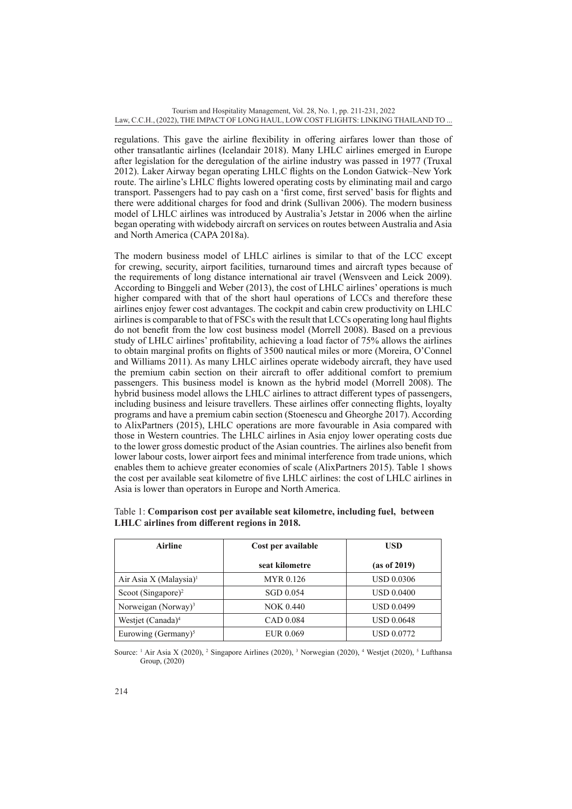regulations. This gave the airline flexibility in offering airfares lower than those of other transatlantic airlines (Icelandair 2018). Many LHLC airlines emerged in Europe after legislation for the deregulation of the airline industry was passed in 1977 (Truxal 2012). Laker Airway began operating LHLC flights on the London Gatwick–New York route. The airline's LHLC flights lowered operating costs by eliminating mail and cargo transport. Passengers had to pay cash on a 'first come, first served' basis for flights and there were additional charges for food and drink (Sullivan 2006). The modern business model of LHLC airlines was introduced by Australia's Jetstar in 2006 when the airline began operating with widebody aircraft on services on routes between Australia and Asia and North America (CAPA 2018a).

The modern business model of LHLC airlines is similar to that of the LCC except for crewing, security, airport facilities, turnaround times and aircraft types because of the requirements of long distance international air travel (Wensveen and Leick 2009). According to Binggeli and Weber (2013), the cost of LHLC airlines' operations is much higher compared with that of the short haul operations of LCCs and therefore these airlines enjoy fewer cost advantages. The cockpit and cabin crew productivity on LHLC airlines is comparable to that of FSCs with the result that LCCs operating long haul flights do not benefit from the low cost business model (Morrell 2008). Based on a previous study of LHLC airlines' profitability, achieving a load factor of 75% allows the airlines to obtain marginal profits on flights of 3500 nautical miles or more (Moreira, O'Connel and Williams 2011). As many LHLC airlines operate widebody aircraft, they have used the premium cabin section on their aircraft to offer additional comfort to premium passengers. This business model is known as the hybrid model (Morrell 2008). The hybrid business model allows the LHLC airlines to attract different types of passengers, including business and leisure travellers. These airlines offer connecting flights, loyalty programs and have a premium cabin section (Stoenescu and Gheorghe 2017). According to AlixPartners (2015), LHLC operations are more favourable in Asia compared with those in Western countries. The LHLC airlines in Asia enjoy lower operating costs due to the lower gross domestic product of the Asian countries. The airlines also benefit from lower labour costs, lower airport fees and minimal interference from trade unions, which enables them to achieve greater economies of scale (AlixPartners 2015). Table 1 shows the cost per available seat kilometre of five LHLC airlines: the cost of LHLC airlines in Asia is lower than operators in Europe and North America.

| <b>Airline</b>                     | Cost per available | <b>USD</b>        |
|------------------------------------|--------------------|-------------------|
|                                    | seat kilometre     | (as of 2019)      |
| Air Asia X (Malaysia) <sup>1</sup> | MYR 0.126          | <b>USD 0.0306</b> |
| Scoot (Singapore) <sup>2</sup>     | SGD 0.054          | <b>USD 0.0400</b> |
| Norweigan (Norway) <sup>3</sup>    | <b>NOK 0.440</b>   | <b>USD 0.0499</b> |
| Westjet (Canada) <sup>4</sup>      | CAD 0.084          | <b>USD 0.0648</b> |
| Eurowing (Germany) $5$             | EUR 0.069          | USD 0.0772        |

| Table 1: Comparison cost per available seat kilometre, including fuel, between |  |  |  |
|--------------------------------------------------------------------------------|--|--|--|
| LHLC airlines from different regions in 2018.                                  |  |  |  |

Source:  $\frac{1}{1}$  Air Asia X (2020),  $\frac{2}{1}$  Singapore Airlines (2020),  $\frac{3}{1}$  Norwegian (2020),  $\frac{4}{1}$  Westjet (2020),  $\frac{5}{1}$  Lufthansa Group, (2020)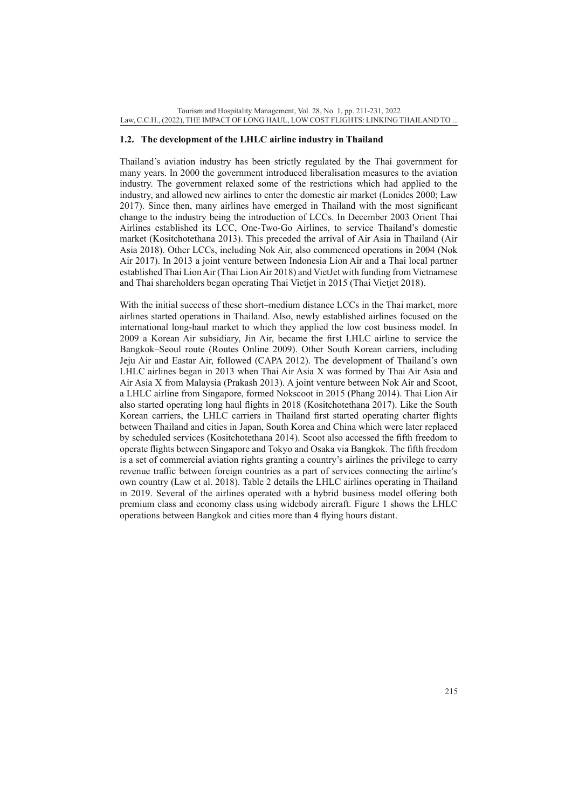#### **1.2. The development of the LHLC airline industry in Thailand**

Thailand's aviation industry has been strictly regulated by the Thai government for many years. In 2000 the government introduced liberalisation measures to the aviation industry. The government relaxed some of the restrictions which had applied to the industry, and allowed new airlines to enter the domestic air market (Lonides 2000; Law 2017). Since then, many airlines have emerged in Thailand with the most significant change to the industry being the introduction of LCCs. In December 2003 Orient Thai Airlines established its LCC, One-Two-Go Airlines, to service Thailand's domestic market (Kositchotethana 2013). This preceded the arrival of Air Asia in Thailand (Air Asia 2018). Other LCCs, including Nok Air, also commenced operations in 2004 (Nok Air 2017). In 2013 a joint venture between Indonesia Lion Air and a Thai local partner established Thai Lion Air (Thai Lion Air 2018) and VietJet with funding from Vietnamese and Thai shareholders began operating Thai Vietjet in 2015 (Thai Vietjet 2018).

With the initial success of these short–medium distance LCCs in the Thai market, more airlines started operations in Thailand. Also, newly established airlines focused on the international long-haul market to which they applied the low cost business model. In 2009 a Korean Air subsidiary, Jin Air, became the first LHLC airline to service the Bangkok–Seoul route (Routes Online 2009). Other South Korean carriers, including Jeju Air and Eastar Air, followed (CAPA 2012). The development of Thailand's own LHLC airlines began in 2013 when Thai Air Asia X was formed by Thai Air Asia and Air Asia X from Malaysia (Prakash 2013). A joint venture between Nok Air and Scoot, a LHLC airline from Singapore, formed Nokscoot in 2015 (Phang 2014). Thai Lion Air also started operating long haul flights in 2018 (Kositchotethana 2017). Like the South Korean carriers, the LHLC carriers in Thailand first started operating charter flights between Thailand and cities in Japan, South Korea and China which were later replaced by scheduled services (Kositchotethana 2014). Scoot also accessed the fifth freedom to operate flights between Singapore and Tokyo and Osaka via Bangkok. The fifth freedom is a set of commercial aviation rights granting a country's airlines the privilege to carry revenue traffic between foreign countries as a part of services connecting the airline's own country (Law et al. 2018). Table 2 details the LHLC airlines operating in Thailand in 2019. Several of the airlines operated with a hybrid business model offering both premium class and economy class using widebody aircraft. Figure 1 shows the LHLC operations between Bangkok and cities more than 4 flying hours distant.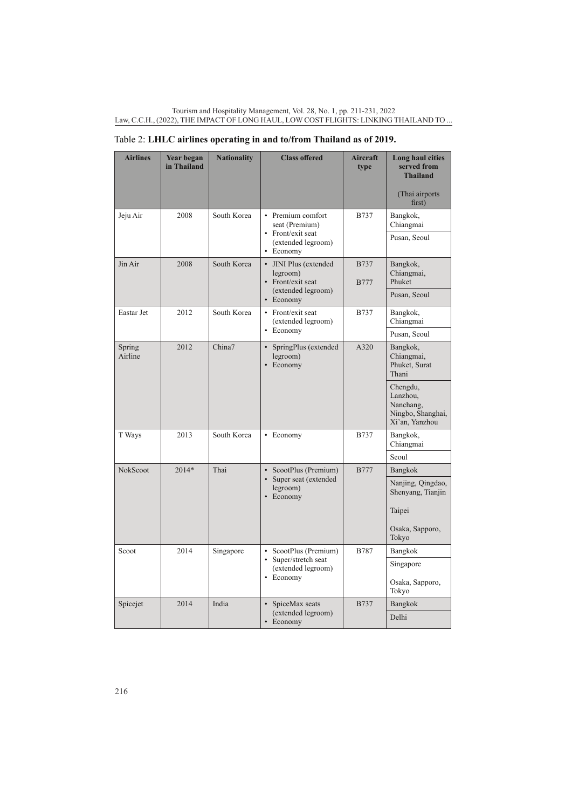| <b>Airlines</b>   | Year began<br>in Thailand | <b>Nationality</b> | <b>Class offered</b>                                       | <b>Aircraft</b><br>type    | Long haul cities<br>served from<br><b>Thailand</b><br>(Thai airports)<br>first) |
|-------------------|---------------------------|--------------------|------------------------------------------------------------|----------------------------|---------------------------------------------------------------------------------|
| Jeju Air          | 2008                      | South Korea        | • Premium comfort<br>seat (Premium)<br>• Front/exit seat   | <b>B737</b>                | Bangkok,<br>Chiangmai<br>Pusan, Seoul                                           |
|                   |                           |                    | (extended legroom)<br>Economy                              |                            |                                                                                 |
| Jin Air           | 2008                      | South Korea        | • JINI Plus (extended<br>legroom)<br>• Front/exit seat     | <b>B737</b><br><b>B777</b> | Bangkok,<br>Chiangmai,<br>Phuket                                                |
|                   |                           |                    | (extended legroom)<br>• Economy                            |                            | Pusan, Seoul                                                                    |
| Eastar Jet        | 2012                      | South Korea        | • Front/exit seat<br>(extended legroom)                    | <b>B737</b>                | Bangkok,<br>Chiangmai                                                           |
|                   |                           |                    | • Economy                                                  |                            | Pusan, Seoul                                                                    |
| Spring<br>Airline | 2012                      | China7             | • SpringPlus (extended<br>legroom)<br>• Economy            | A320                       | Bangkok,<br>Chiangmai,<br>Phuket, Surat<br>Thani                                |
|                   |                           |                    |                                                            |                            | Chengdu,<br>Lanzhou,<br>Nanchang,<br>Ningbo, Shanghai,<br>Xi'an, Yanzhou        |
| T Ways            | 2013                      | South Korea        | • Economy                                                  | <b>B737</b>                | Bangkok,<br>Chiangmai                                                           |
|                   |                           |                    |                                                            |                            | Seoul                                                                           |
| NokScoot          | $2014*$                   | Thai               | ScootPlus (Premium)<br>$\bullet$<br>• Super seat (extended | <b>B777</b>                | Bangkok                                                                         |
|                   |                           |                    | legroom)<br>Economy<br>$\bullet$                           |                            | Nanjing, Qingdao,<br>Shenyang, Tianjin                                          |
|                   |                           |                    |                                                            |                            | Taipei                                                                          |
|                   |                           |                    |                                                            |                            | Osaka, Sapporo,<br>Tokyo                                                        |
| Scoot             | 2014                      | Singapore          | • ScootPlus (Premium)                                      | <b>B787</b>                | Bangkok                                                                         |
|                   |                           |                    | • Super/stretch seat<br>(extended legroom)<br>• Economy    |                            | Singapore                                                                       |
|                   |                           |                    |                                                            |                            | Osaka, Sapporo,<br>Tokyo                                                        |
| Spicejet          | 2014                      | India              | • SpiceMax seats<br>(extended legroom)                     | <b>B737</b>                | Bangkok                                                                         |
|                   |                           |                    | • Economy                                                  |                            | Delhi                                                                           |

# Table 2: **LHLC airlines operating in and to/from Thailand as of 2019.**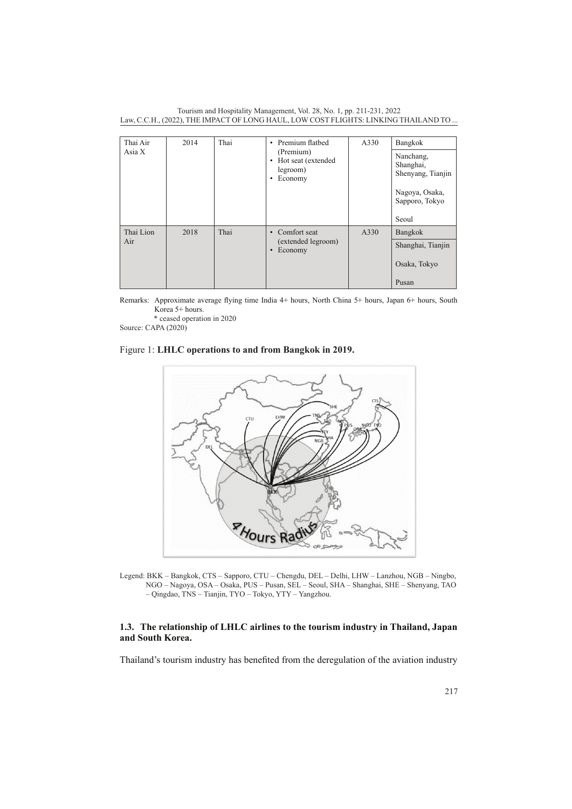Tourism and Hospitality Management, Vol. 28, No. 1, pp. 211-231, 2022 Law, C.C.H., (2022), THE IMPACT OF LONG HAUL, LOW COST FLIGHTS: LINKING THAILAND TO ...

| Thai Air<br>Asia $X$ | 2014 | Thai | • Premium flathed<br>(Premium)<br>• Hot seat (extended<br>legroom)<br>Economy<br>٠ | A330 | Bangkok<br>Nanchang,<br>Shanghai,<br>Shenyang, Tianjin<br>Nagoya, Osaka,<br>Sapporo, Tokyo |
|----------------------|------|------|------------------------------------------------------------------------------------|------|--------------------------------------------------------------------------------------------|
|                      |      |      |                                                                                    |      | Seoul                                                                                      |
| Thai Lion            | 2018 | Thai | • Comfort seat                                                                     | A330 | Bangkok                                                                                    |
| Air                  |      |      | (extended legroom)<br>Economy<br>$\bullet$                                         |      | Shanghai, Tianjin                                                                          |
|                      |      |      |                                                                                    |      | Osaka, Tokyo                                                                               |
|                      |      |      |                                                                                    |      | Pusan                                                                                      |

Remarks: Approximate average flying time India 4+ hours, North China 5+ hours, Japan 6+ hours, South Korea 5+ hours.

 \* ceased operation in 2020 Source: CAPA (2020)

## Figure 1: **LHLC operations to and from Bangkok in 2019.**



Legend: BKK – Bangkok, CTS – Sapporo, CTU – Chengdu, DEL – Delhi, LHW – Lanzhou, NGB – Ningbo, NGO – Nagoya, OSA – Osaka, PUS – Pusan, SEL – Seoul, SHA – Shanghai, SHE – Shenyang, TAO – Qingdao, TNS – Tianjin, TYO – Tokyo, YTY – Yangzhou.

## **1.3. The relationship of LHLC airlines to the tourism industry in Thailand, Japan and South Korea.**

Thailand's tourism industry has benefited from the deregulation of the aviation industry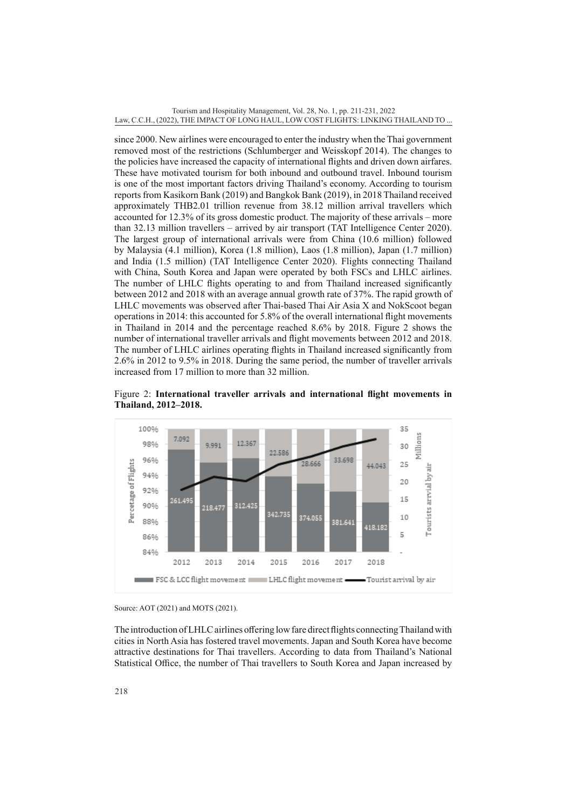since 2000. New airlines were encouraged to enter the industry when the Thai government removed most of the restrictions (Schlumberger and Weisskopf 2014). The changes to the policies have increased the capacity of international flights and driven down airfares. These have motivated tourism for both inbound and outbound travel. Inbound tourism is one of the most important factors driving Thailand's economy. According to tourism reports from Kasikorn Bank (2019) and Bangkok Bank (2019), in 2018 Thailand received approximately THB2.01 trillion revenue from 38.12 million arrival travellers which accounted for 12.3% of its gross domestic product. The majority of these arrivals – more than 32.13 million travellers – arrived by air transport (TAT Intelligence Center 2020). The largest group of international arrivals were from China (10.6 million) followed by Malaysia (4.1 million), Korea (1.8 million), Laos (1.8 million), Japan (1.7 million) and India (1.5 million) (TAT Intelligence Center 2020). Flights connecting Thailand with China, South Korea and Japan were operated by both FSCs and LHLC airlines. The number of LHLC flights operating to and from Thailand increased significantly between 2012 and 2018 with an average annual growth rate of 37%. The rapid growth of LHLC movements was observed after Thai-based Thai Air Asia X and NokScoot began operations in 2014: this accounted for 5.8% of the overall international flight movements in Thailand in 2014 and the percentage reached 8.6% by 2018. Figure 2 shows the number of international traveller arrivals and flight movements between 2012 and 2018. The number of LHLC airlines operating flights in Thailand increased significantly from 2.6% in 2012 to 9.5% in 2018. During the same period, the number of traveller arrivals increased from 17 million to more than 32 million.



Figure 2: **International traveller arrivals and international flight movements in Thailand, 2012–2018.** 

The introduction of LHLC airlines offering low fare direct flights connecting Thailand with cities in North Asia has fostered travel movements. Japan and South Korea have become attractive destinations for Thai travellers. According to data from Thailand's National Statistical Office, the number of Thai travellers to South Korea and Japan increased by

Source: AOT (2021) and MOTS (2021).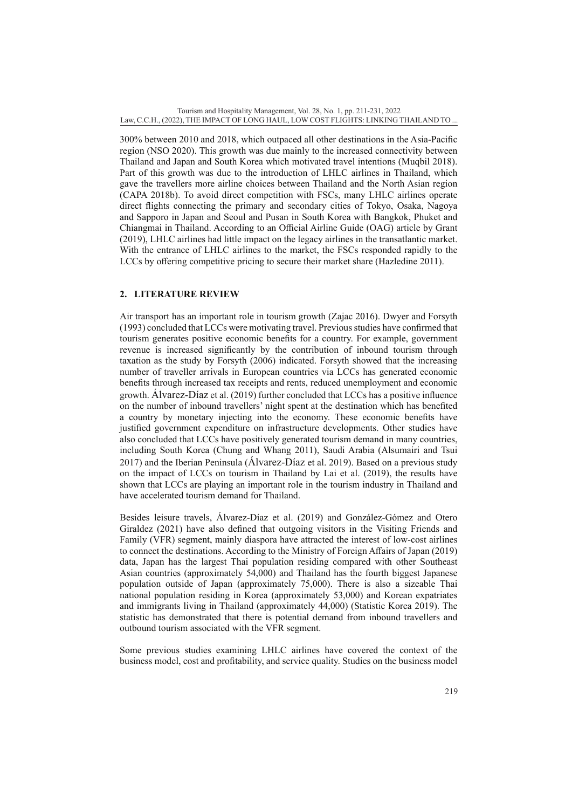300% between 2010 and 2018, which outpaced all other destinations in the Asia-Pacific region (NSO 2020). This growth was due mainly to the increased connectivity between Thailand and Japan and South Korea which motivated travel intentions (Muqbil 2018). Part of this growth was due to the introduction of LHLC airlines in Thailand, which gave the travellers more airline choices between Thailand and the North Asian region (CAPA 2018b). To avoid direct competition with FSCs, many LHLC airlines operate direct flights connecting the primary and secondary cities of Tokyo, Osaka, Nagoya and Sapporo in Japan and Seoul and Pusan in South Korea with Bangkok, Phuket and Chiangmai in Thailand. According to an Official Airline Guide (OAG) article by Grant (2019), LHLC airlines had little impact on the legacy airlines in the transatlantic market. With the entrance of LHLC airlines to the market, the FSCs responded rapidly to the LCCs by offering competitive pricing to secure their market share (Hazledine 2011).

# **2. LITERATURE REVIEW**

Air transport has an important role in tourism growth (Zajac 2016). Dwyer and Forsyth (1993) concluded that LCCs were motivating travel. Previous studies have confirmed that tourism generates positive economic benefits for a country. For example, government revenue is increased significantly by the contribution of inbound tourism through taxation as the study by Forsyth (2006) indicated. Forsyth showed that the increasing number of traveller arrivals in European countries via LCCs has generated economic benefits through increased tax receipts and rents, reduced unemployment and economic growth. Álvarez-Díaz et al. (2019) further concluded that LCCs has a positive influence on the number of inbound travellers' night spent at the destination which has benefited a country by monetary injecting into the economy. These economic benefits have justified government expenditure on infrastructure developments. Other studies have also concluded that LCCs have positively generated tourism demand in many countries, including South Korea (Chung and Whang 2011), Saudi Arabia (Alsumairi and Tsui 2017) and the Iberian Peninsula (Álvarez-Díaz et al. 2019). Based on a previous study on the impact of LCCs on tourism in Thailand by Lai et al. (2019), the results have shown that LCCs are playing an important role in the tourism industry in Thailand and have accelerated tourism demand for Thailand.

Besides leisure travels, Álvarez-Díaz et al. (2019) and González-Gómez and Otero Giraldez (2021) have also defined that outgoing visitors in the Visiting Friends and Family (VFR) segment, mainly diaspora have attracted the interest of low-cost airlines to connect the destinations. According to the Ministry of Foreign Affairs of Japan (2019) data, Japan has the largest Thai population residing compared with other Southeast Asian countries (approximately 54,000) and Thailand has the fourth biggest Japanese population outside of Japan (approximately 75,000). There is also a sizeable Thai national population residing in Korea (approximately 53,000) and Korean expatriates and immigrants living in Thailand (approximately 44,000) (Statistic Korea 2019). The statistic has demonstrated that there is potential demand from inbound travellers and outbound tourism associated with the VFR segment.

Some previous studies examining LHLC airlines have covered the context of the business model, cost and profitability, and service quality. Studies on the business model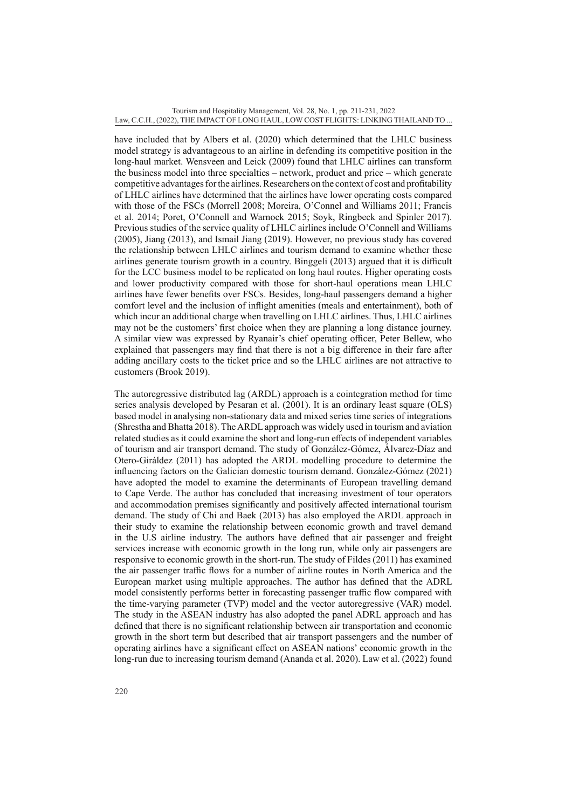have included that by Albers et al. (2020) which determined that the LHLC business model strategy is advantageous to an airline in defending its competitive position in the long-haul market. Wensveen and Leick (2009) found that LHLC airlines can transform the business model into three specialties – network, product and price – which generate competitive advantages for the airlines. Researchers on the context of cost and profitability of LHLC airlines have determined that the airlines have lower operating costs compared with those of the FSCs (Morrell 2008; Moreira, O'Connel and Williams 2011; Francis et al. 2014; Poret, O'Connell and Warnock 2015; Soyk, Ringbeck and Spinler 2017). Previous studies of the service quality of LHLC airlines include O'Connell and Williams (2005), Jiang (2013), and Ismail Jiang (2019). However, no previous study has covered the relationship between LHLC airlines and tourism demand to examine whether these airlines generate tourism growth in a country. Binggeli (2013) argued that it is difficult for the LCC business model to be replicated on long haul routes. Higher operating costs and lower productivity compared with those for short-haul operations mean LHLC airlines have fewer benefits over FSCs. Besides, long-haul passengers demand a higher comfort level and the inclusion of inflight amenities (meals and entertainment), both of which incur an additional charge when travelling on LHLC airlines. Thus, LHLC airlines may not be the customers' first choice when they are planning a long distance journey. A similar view was expressed by Ryanair's chief operating officer, Peter Bellew, who explained that passengers may find that there is not a big difference in their fare after adding ancillary costs to the ticket price and so the LHLC airlines are not attractive to customers (Brook 2019).

The autoregressive distributed lag (ARDL) approach is a cointegration method for time series analysis developed by Pesaran et al. (2001). It is an ordinary least square (OLS) based model in analysing non-stationary data and mixed series time series of integrations (Shrestha and Bhatta 2018). The ARDL approach was widely used in tourism and aviation related studies as it could examine the short and long-run effects of independent variables of tourism and air transport demand. The study of González-Gómez, Álvarez-Díaz and Otero-Giráldez (2011) has adopted the ARDL modelling procedure to determine the influencing factors on the Galician domestic tourism demand. González-Gómez (2021) have adopted the model to examine the determinants of European travelling demand to Cape Verde. The author has concluded that increasing investment of tour operators and accommodation premises significantly and positively affected international tourism demand. The study of Chi and Baek (2013) has also employed the ARDL approach in their study to examine the relationship between economic growth and travel demand in the U.S airline industry. The authors have defined that air passenger and freight services increase with economic growth in the long run, while only air passengers are responsive to economic growth in the short-run. The study of Fildes (2011) has examined the air passenger traffic flows for a number of airline routes in North America and the European market using multiple approaches. The author has defined that the ADRL model consistently performs better in forecasting passenger traffic flow compared with the time-varying parameter (TVP) model and the vector autoregressive (VAR) model. The study in the ASEAN industry has also adopted the panel ADRL approach and has defined that there is no significant relationship between air transportation and economic growth in the short term but described that air transport passengers and the number of operating airlines have a significant effect on ASEAN nations' economic growth in the long-run due to increasing tourism demand (Ananda et al. 2020). Law et al. (2022) found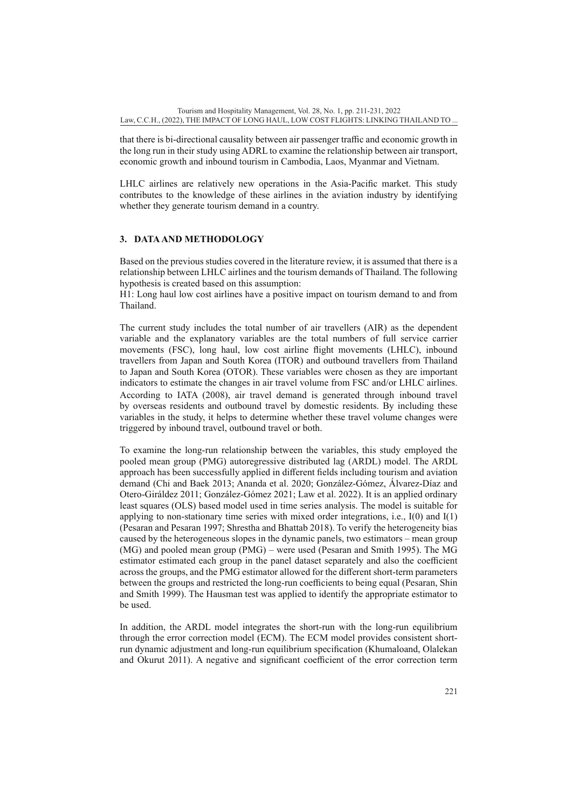that there is bi-directional causality between air passenger traffic and economic growth in the long run in their study using ADRL to examine the relationship between air transport, economic growth and inbound tourism in Cambodia, Laos, Myanmar and Vietnam.

LHLC airlines are relatively new operations in the Asia-Pacific market. This study contributes to the knowledge of these airlines in the aviation industry by identifying whether they generate tourism demand in a country.

## **3. DATA AND METHODOLOGY**

Based on the previous studies covered in the literature review, it is assumed that there is a relationship between LHLC airlines and the tourism demands of Thailand. The following hypothesis is created based on this assumption:

H1: Long haul low cost airlines have a positive impact on tourism demand to and from Thailand.

The current study includes the total number of air travellers (AIR) as the dependent variable and the explanatory variables are the total numbers of full service carrier movements (FSC), long haul, low cost airline flight movements (LHLC), inbound travellers from Japan and South Korea (ITOR) and outbound travellers from Thailand to Japan and South Korea (OTOR). These variables were chosen as they are important indicators to estimate the changes in air travel volume from FSC and/or LHLC airlines. According to IATA (2008), air travel demand is generated through inbound travel by overseas residents and outbound travel by domestic residents. By including these variables in the study, it helps to determine whether these travel volume changes were triggered by inbound travel, outbound travel or both.

To examine the long-run relationship between the variables, this study employed the pooled mean group (PMG) autoregressive distributed lag (ARDL) model. The ARDL approach has been successfully applied in different fields including tourism and aviation demand (Chi and Baek 2013; Ananda et al. 2020; González-Gómez, Álvarez-Díaz and Otero-Giráldez 2011; González-Gómez 2021; Law et al. 2022). It is an applied ordinary least squares (OLS) based model used in time series analysis. The model is suitable for applying to non-stationary time series with mixed order integrations, i.e.,  $I(0)$  and  $I(1)$ (Pesaran and Pesaran 1997; Shrestha and Bhattab 2018). To verify the heterogeneity bias caused by the heterogeneous slopes in the dynamic panels, two estimators – mean group (MG) and pooled mean group (PMG) – were used (Pesaran and Smith 1995). The MG estimator estimated each group in the panel dataset separately and also the coefficient across the groups, and the PMG estimator allowed for the different short-term parameters between the groups and restricted the long-run coefficients to being equal (Pesaran, Shin and Smith 1999). The Hausman test was applied to identify the appropriate estimator to be used.

In addition, the ARDL model integrates the short-run with the long-run equilibrium through the error correction model (ECM). The ECM model provides consistent shortrun dynamic adjustment and long-run equilibrium specification (Khumaloand, Olalekan and Okurut 2011). A negative and significant coefficient of the error correction term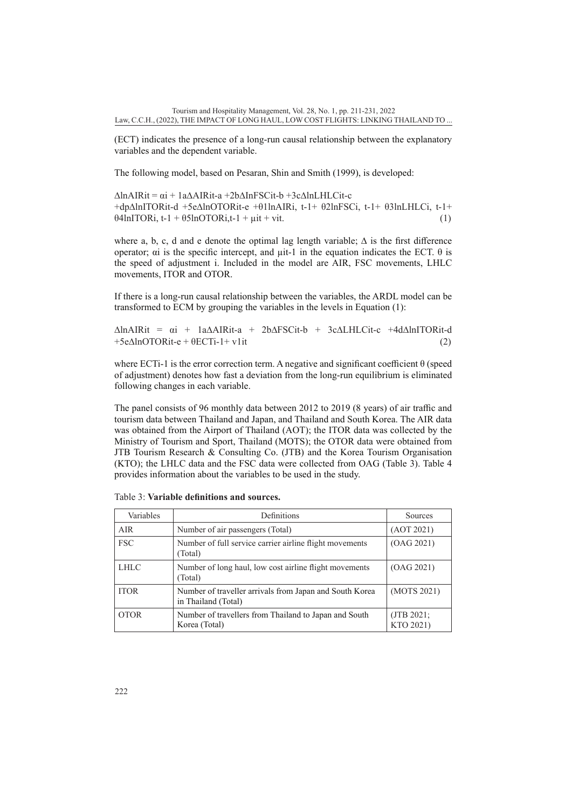(ECT) indicates the presence of a long-run causal relationship between the explanatory variables and the dependent variable.

The following model, based on Pesaran, Shin and Smith (1999), is developed:

∆lnAIRit = αi + 1a∆AIRit-a +2b∆InFSCit-b +3c∆lnLHLCit-c +dp∆lnITORit-d +5e∆lnOTORit-e +θ1lnAIRi, t-1+ θ2lnFSCi, t-1+ θ3lnLHLCi, t-1+  $\theta$ 4lnITORi, t-1 +  $\theta$ 5lnOTORi, t-1 +  $\mu$ it + vit. (1)

where a, b, c, d and e denote the optimal lag length variable;  $\Delta$  is the first difference operator; αi is the specific intercept, and  $\mu$ it-1 in the equation indicates the ECT.  $θ$  is the speed of adjustment i. Included in the model are AIR, FSC movements, LHLC movements, ITOR and OTOR.

If there is a long-run causal relationship between the variables, the ARDL model can be transformed to ECM by grouping the variables in the levels in Equation (1):

∆lnAIRit = αi + 1a∆AIRit-a + 2b∆FSCit-b + 3c∆LHLCit-c +4d∆lnITORit-d  $+5e\Delta$ lnOTORit-e +  $\theta$ ECTi-1+ v1it (2)

where ECTi-1 is the error correction term. A negative and significant coefficient  $\theta$  (speed of adjustment) denotes how fast a deviation from the long-run equilibrium is eliminated following changes in each variable.

The panel consists of 96 monthly data between 2012 to 2019 (8 years) of air traffic and tourism data between Thailand and Japan, and Thailand and South Korea. The AIR data was obtained from the Airport of Thailand (AOT); the ITOR data was collected by the Ministry of Tourism and Sport, Thailand (MOTS); the OTOR data were obtained from JTB Tourism Research & Consulting Co. (JTB) and the Korea Tourism Organisation (KTO); the LHLC data and the FSC data were collected from OAG (Table 3). Table 4 provides information about the variables to be used in the study.

| Variables   | Definitions                                                                    | Sources                    |
|-------------|--------------------------------------------------------------------------------|----------------------------|
| <b>AIR</b>  | Number of air passengers (Total)                                               | (AOT 2021)                 |
| <b>FSC</b>  | Number of full service carrier airline flight movements<br>(Total)             | (OAG 2021)                 |
| <b>LHLC</b> | Number of long haul, low cost airline flight movements<br>(Total)              | (OAG 2021)                 |
| <b>ITOR</b> | Number of traveller arrivals from Japan and South Korea<br>in Thailand (Total) | (MOTS 2021)                |
| <b>OTOR</b> | Number of travellers from Thailand to Japan and South<br>Korea (Total)         | $($ JTB 2021;<br>KTO 2021) |

Table 3: **Variable definitions and sources.**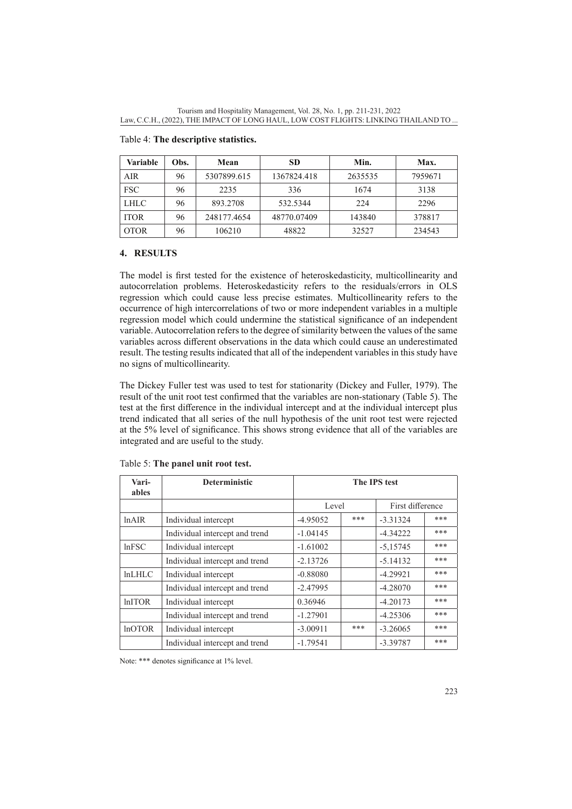| <b>Variable</b> | Obs. | Mean        | <b>SD</b>   | Min.    | Max.    |
|-----------------|------|-------------|-------------|---------|---------|
| AIR             | 96   | 5307899.615 | 1367824.418 | 2635535 | 7959671 |
| <b>FSC</b>      | 96   | 2235        | 336         | 1674    | 3138    |
| <b>LHLC</b>     | 96   | 893.2708    | 532.5344    | 224     | 2296    |
| <b>ITOR</b>     | 96   | 248177.4654 | 48770.07409 | 143840  | 378817  |
| <b>OTOR</b>     | 96   | 106210      | 48822       | 32527   | 234543  |

## Table 4: **The descriptive statistics.**

#### **4. RESULTS**

The model is first tested for the existence of heteroskedasticity, multicollinearity and autocorrelation problems. Heteroskedasticity refers to the residuals/errors in OLS regression which could cause less precise estimates. Multicollinearity refers to the occurrence of high intercorrelations of two or more independent variables in a multiple regression model which could undermine the statistical significance of an independent variable. Autocorrelation refers to the degree of similarity between the values of the same variables across different observations in the data which could cause an underestimated result. The testing results indicated that all of the independent variables in this study have no signs of multicollinearity.

The Dickey Fuller test was used to test for stationarity (Dickey and Fuller, 1979). The result of the unit root test confirmed that the variables are non-stationary (Table 5). The test at the first difference in the individual intercept and at the individual intercept plus trend indicated that all series of the null hypothesis of the unit root test were rejected at the 5% level of significance. This shows strong evidence that all of the variables are integrated and are useful to the study.

| Vari-<br>ables | <b>Deterministic</b>           | The IPS test |     |                  |     |
|----------------|--------------------------------|--------------|-----|------------------|-----|
|                |                                | Level        |     | First difference |     |
| ln AIR         | Individual intercept           | $-4.95052$   | *** | $-3.31324$       | *** |
|                | Individual intercept and trend | $-1.04145$   |     | $-4.34222$       | *** |
| lnFSC          | Individual intercept           | $-1.61002$   |     | $-5,15745$       | *** |
|                | Individual intercept and trend | $-2.13726$   |     | $-5.14132$       | *** |
| lnLHLC         | Individual intercept           | $-0.88080$   |     | $-4.29921$       | *** |
|                | Individual intercept and trend | $-2.47995$   |     | $-4.28070$       | *** |
| <b>lnITOR</b>  | Individual intercept           | 0.36946      |     | $-4.20173$       | *** |
|                | Individual intercept and trend | $-1.27901$   |     | $-4.25306$       | *** |
| <b>lnOTOR</b>  | Individual intercept           | $-3.00911$   | *** | $-3.26065$       | *** |
|                | Individual intercept and trend | $-1.79541$   |     | $-3.39787$       | *** |

#### Table 5: **The panel unit root test.**

Note: \*\*\* denotes significance at 1% level.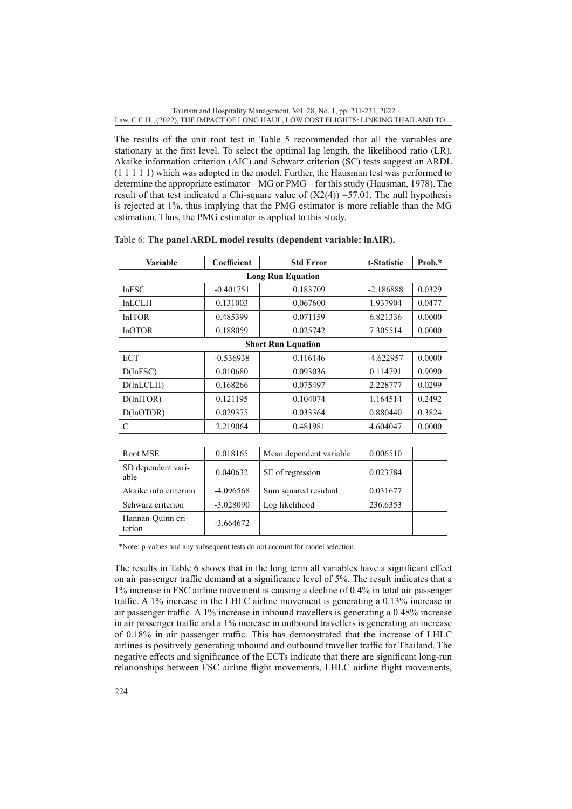The results of the unit root test in Table 5 recommended that all the variables are stationary at the first level. To select the optimal lag length, the likelihood ratio (LR), Akaike information criterion (AIC) and Schwarz criterion (SC) tests suggest an ARDL (1 1 1 1 1) which was adopted in the model. Further, the Hausman test was performed to determine the appropriate estimator – MG or PMG – for this study (Hausman, 1978). The result of that test indicated a Chi-square value of  $(X2(4)) = 57.01$ . The null hypothesis is rejected at 1%, thus implying that the PMG estimator is more reliable than the MG estimation. Thus, the PMG estimator is applied to this study.

| <b>Variable</b>             | Coefficient | <b>Std Error</b>          | t-Statistic | Prob.* |  |  |  |  |
|-----------------------------|-------------|---------------------------|-------------|--------|--|--|--|--|
| <b>Long Run Equation</b>    |             |                           |             |        |  |  |  |  |
| In FSC                      | $-0.401751$ | 0.183709                  | $-2.186888$ | 0.0329 |  |  |  |  |
| <b>lnLCLH</b>               | 0.131003    | 0.067600                  | 1.937904    | 0.0477 |  |  |  |  |
| <b>lnITOR</b>               | 0.485399    | 0.071159                  | 6.821336    | 0.0000 |  |  |  |  |
| <b>lnOTOR</b>               | 0.188059    | 0.025742                  | 7.305514    | 0.0000 |  |  |  |  |
|                             |             | <b>Short Run Equation</b> |             |        |  |  |  |  |
| <b>ECT</b>                  | $-0.536938$ | 0.116146                  | $-4.622957$ | 0.0000 |  |  |  |  |
| D(lnFSC)                    | 0.010680    | 0.093036                  | 0.114791    | 0.9090 |  |  |  |  |
| D(hLCLH)                    | 0.168266    | 0.075497                  | 2.228777    | 0.0299 |  |  |  |  |
| D(lnITOR)                   | 0.121195    | 0.104074                  | 1.164514    | 0.2492 |  |  |  |  |
| $D($ lnOTOR $)$             | 0.029375    | 0.033364                  | 0.880440    | 0.3824 |  |  |  |  |
| $\mathsf{C}$                | 2.219064    | 0.481981                  | 4.604047    | 0.0000 |  |  |  |  |
|                             |             |                           |             |        |  |  |  |  |
| Root MSE                    | 0.018165    | Mean dependent variable   | 0.006510    |        |  |  |  |  |
| SD dependent vari-<br>able  | 0.040632    | SE of regression          | 0.023784    |        |  |  |  |  |
| Akaike info criterion       | $-4.096568$ | Sum squared residual      | 0.031677    |        |  |  |  |  |
| Schwarz criterion           | $-3.028090$ | Log likelihood            | 236.6353    |        |  |  |  |  |
| Hannan-Quinn cri-<br>terion | $-3.664672$ |                           |             |        |  |  |  |  |

Table 6: **The panel ARDL model results (dependent variable: lnAIR).**

\*Note: p-values and any subsequent tests do not account for model selection.

The results in Table 6 shows that in the long term all variables have a significant effect on air passenger traffic demand at a significance level of 5%. The result indicates that a 1% increase in FSC airline movement is causing a decline of 0.4% in total air passenger traffic. A 1% increase in the LHLC airline movement is generating a 0.13% increase in air passenger traffic. A 1% increase in inbound travellers is generating a 0.48% increase in air passenger traffic and a 1% increase in outbound travellers is generating an increase of 0.18% in air passenger traffic. This has demonstrated that the increase of LHLC airlines is positively generating inbound and outbound traveller traffic for Thailand. The negative effects and significance of the ECTs indicate that there are significant long-run relationships between FSC airline flight movements, LHLC airline flight movements,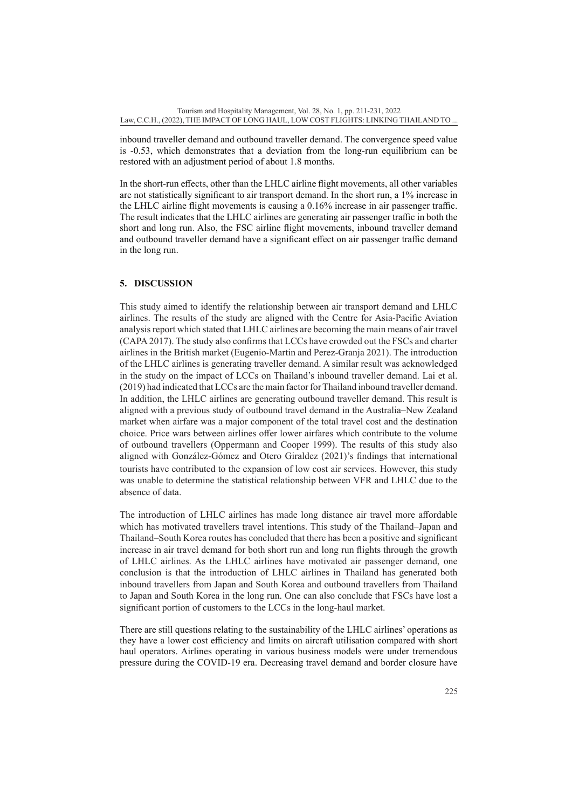inbound traveller demand and outbound traveller demand. The convergence speed value is -0.53, which demonstrates that a deviation from the long-run equilibrium can be restored with an adjustment period of about 1.8 months.

In the short-run effects, other than the LHLC airline flight movements, all other variables are not statistically significant to air transport demand. In the short run, a 1% increase in the LHLC airline flight movements is causing a 0.16% increase in air passenger traffic. The result indicates that the LHLC airlines are generating air passenger traffic in both the short and long run. Also, the FSC airline flight movements, inbound traveller demand and outbound traveller demand have a significant effect on air passenger traffic demand in the long run.

## **5. DISCUSSION**

This study aimed to identify the relationship between air transport demand and LHLC airlines. The results of the study are aligned with the Centre for Asia-Pacific Aviation analysis report which stated that LHLC airlines are becoming the main means of air travel (CAPA 2017). The study also confirms that LCCs have crowded out the FSCs and charter airlines in the British market (Eugenio-Martin and Perez-Granja 2021). The introduction of the LHLC airlines is generating traveller demand. A similar result was acknowledged in the study on the impact of LCCs on Thailand's inbound traveller demand. Lai et al. (2019) had indicated that LCCs are the main factor for Thailand inbound traveller demand. In addition, the LHLC airlines are generating outbound traveller demand. This result is aligned with a previous study of outbound travel demand in the Australia–New Zealand market when airfare was a major component of the total travel cost and the destination choice. Price wars between airlines offer lower airfares which contribute to the volume of outbound travellers (Oppermann and Cooper 1999). The results of this study also aligned with González-Gómez and Otero Giraldez (2021)'s findings that international tourists have contributed to the expansion of low cost air services. However, this study was unable to determine the statistical relationship between VFR and LHLC due to the absence of data.

The introduction of LHLC airlines has made long distance air travel more affordable which has motivated travellers travel intentions. This study of the Thailand–Japan and Thailand–South Korea routes has concluded that there has been a positive and significant increase in air travel demand for both short run and long run flights through the growth of LHLC airlines. As the LHLC airlines have motivated air passenger demand, one conclusion is that the introduction of LHLC airlines in Thailand has generated both inbound travellers from Japan and South Korea and outbound travellers from Thailand to Japan and South Korea in the long run. One can also conclude that FSCs have lost a significant portion of customers to the LCCs in the long-haul market.

There are still questions relating to the sustainability of the LHLC airlines' operations as they have a lower cost efficiency and limits on aircraft utilisation compared with short haul operators. Airlines operating in various business models were under tremendous pressure during the COVID-19 era. Decreasing travel demand and border closure have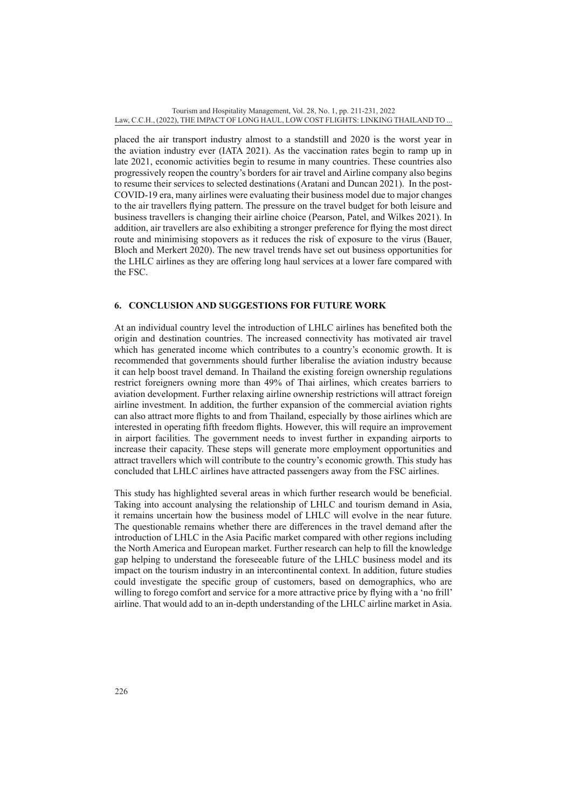placed the air transport industry almost to a standstill and 2020 is the worst year in the aviation industry ever (IATA 2021). As the vaccination rates begin to ramp up in late 2021, economic activities begin to resume in many countries. These countries also progressively reopen the country's borders for air travel and Airline company also begins to resume their services to selected destinations (Aratani and Duncan 2021). In the post-COVID-19 era, many airlines were evaluating their business model due to major changes to the air travellers flying pattern. The pressure on the travel budget for both leisure and business travellers is changing their airline choice (Pearson, Patel, and Wilkes 2021). In addition, air travellers are also exhibiting a stronger preference for flying the most direct route and minimising stopovers as it reduces the risk of exposure to the virus (Bauer, Bloch and Merkert 2020). The new travel trends have set out business opportunities for the LHLC airlines as they are offering long haul services at a lower fare compared with the FSC.

#### **6. CONCLUSION AND SUGGESTIONS FOR FUTURE WORK**

At an individual country level the introduction of LHLC airlines has benefited both the origin and destination countries. The increased connectivity has motivated air travel which has generated income which contributes to a country's economic growth. It is recommended that governments should further liberalise the aviation industry because it can help boost travel demand. In Thailand the existing foreign ownership regulations restrict foreigners owning more than 49% of Thai airlines, which creates barriers to aviation development. Further relaxing airline ownership restrictions will attract foreign airline investment. In addition, the further expansion of the commercial aviation rights can also attract more flights to and from Thailand, especially by those airlines which are interested in operating fifth freedom flights. However, this will require an improvement in airport facilities. The government needs to invest further in expanding airports to increase their capacity. These steps will generate more employment opportunities and attract travellers which will contribute to the country's economic growth. This study has concluded that LHLC airlines have attracted passengers away from the FSC airlines.

This study has highlighted several areas in which further research would be beneficial. Taking into account analysing the relationship of LHLC and tourism demand in Asia, it remains uncertain how the business model of LHLC will evolve in the near future. The questionable remains whether there are differences in the travel demand after the introduction of LHLC in the Asia Pacific market compared with other regions including the North America and European market. Further research can help to fill the knowledge gap helping to understand the foreseeable future of the LHLC business model and its impact on the tourism industry in an intercontinental context. In addition, future studies could investigate the specific group of customers, based on demographics, who are willing to forego comfort and service for a more attractive price by flying with a 'no frill' airline. That would add to an in-depth understanding of the LHLC airline market in Asia.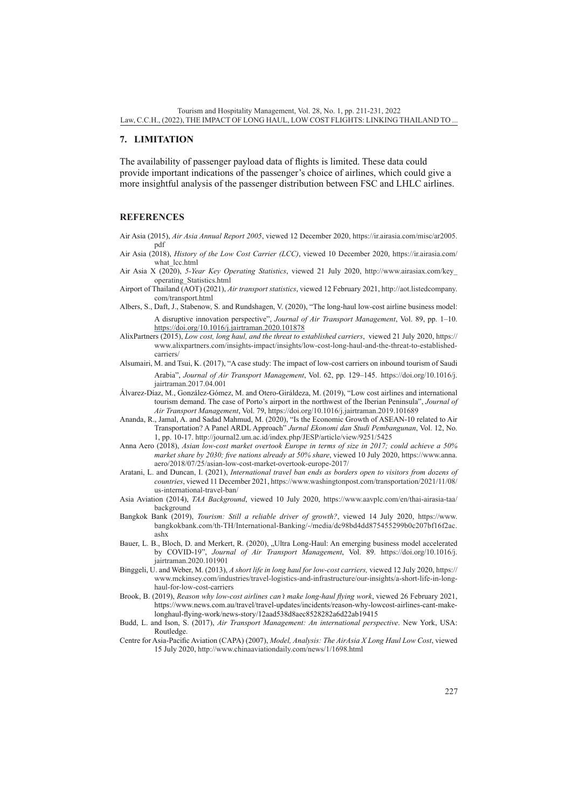#### **7. LIMITATION**

The availability of passenger payload data of flights is limited. These data could provide important indications of the passenger's choice of airlines, which could give a more insightful analysis of the passenger distribution between FSC and LHLC airlines.

#### **REFERENCES**

- Air Asia (2015), *Air Asia Annual Report 2005*, viewed 12 December 2020, [https://ir.airasia.com/misc/ar2005.](https://ir.airasia.com/misc/ar2005.pdf) [pdf](https://ir.airasia.com/misc/ar2005.pdf)
- Air Asia (2018), *History of the Low Cost Carrier (LCC)*, viewed 10 December 2020, [https://ir.airasia.com/](https://ir.airasia.com/what_lcc.html) what lcc.html
- Air Asia X (2020), *5-Year Key Operating Statistics*, viewed 21 July 2020, [http://www.airasiax.com/key\\_](http://www.airasiax.com/key_operating_Statistics.html) [operating\\_Statistics.html](http://www.airasiax.com/key_operating_Statistics.html)
- Airport of Thailand (AOT) (2021), *Air transport statistics*, viewed 12 February 2021, [http://aot.listedcompany.](http://aot.listedcompany.com/transport.html) [com/transport.html](http://aot.listedcompany.com/transport.html)
- Albers, S., Daft, J., Stabenow, S. and Rundshagen, V. (2020), "The long-haul low-cost airline business model: A disruptive innovation perspective", *Journal of Air Transport Management*, Vol. 89, pp. 1–10. [https://doi.org/10.1016/j.jairtraman.2020.101878](https://doi.org/10.1016/j.jairtraman.2020.101878%20)
- AlixPartners (2015), *Low cost, long haul, and the threat to established carriers*, viewed 21 July 2020, [https://](https://www.alixpartners.com/insights-impact/insights/low-cost-long-haul-and-the-threat-to-established-carriers/) [www.alixpartners.com/insights-impact/insights/low-cost-long-haul-and-the-threat-to-established](https://www.alixpartners.com/insights-impact/insights/low-cost-long-haul-and-the-threat-to-established-carriers/)[carriers/](https://www.alixpartners.com/insights-impact/insights/low-cost-long-haul-and-the-threat-to-established-carriers/)
- Alsumairi, M. and Tsui, K. (2017), "A case study: The impact of low-cost carriers on inbound tourism of Saudi Arabia", *Journal of Air Transport Management*, Vol. 62, pp. 129–145. [https://doi.org/10.1016/j.](https://doi.org/10.1016/j.jairtraman.2017.04.001) [jairtraman.2017.04.001](https://doi.org/10.1016/j.jairtraman.2017.04.001)
- Álvarez-Díaz, M., González-Gómez, M. and Otero-Giráldeza, M. (2019), "Low cost airlines and international tourism demand. The case of Porto's airport in the northwest of the Iberian Peninsula", *Journal of Air Transport Management*, Vol. 79,<https://doi.org/10.1016/j.jairtraman.2019.101689>
- Ananda, R., Jamal, A. and Sadad Mahmud, M. (2020), "Is the Economic Growth of ASEAN-10 related to Air Transportation? A Panel ARDL Approach" *Jurnal Ekonomi dan Studi Pembangunan*, Vol. 12, No. 1, pp. 10-17.<http://journal2.um.ac.id/index.php/JESP/article/view/9251/5425>
- Anna Aero (2018), *Asian low-cost market overtook Europe in terms of size in 2017; could achieve a 50% market share by 2030; five nations already at 50% share*, viewed 10 July 2020, [https://www.anna.](https://www.anna.aero/2018/07/25/asian-low-cost-market-overtook-europe-2017/) [aero/2018/07/25/asian-low-cost-market-overtook-europe-2017/](https://www.anna.aero/2018/07/25/asian-low-cost-market-overtook-europe-2017/)
- Aratani, L. and Duncan, I. (2021), *International travel ban ends as borders open to visitors from dozens of countries*, viewed 11 December 2021, [https://www.washingtonpost.com/transportation/2021/11/08/](https://www.washingtonpost.com/transportation/2021/11/08/us-international-travel-ban/) [us-international-travel-ban/](https://www.washingtonpost.com/transportation/2021/11/08/us-international-travel-ban/)
- Asia Aviation (2014), *TAA Background*, viewed 10 July 2020, [https://www.aavplc.com/en/thai-airasia-taa/](https://www.aavplc.com/en/thai-airasia-taa/background) [background](https://www.aavplc.com/en/thai-airasia-taa/background)
- Bangkok Bank (2019), *Tourism: Still a reliable driver of growth?*, viewed 14 July 2020, [https://www.](https://www.bangkokbank.com/th-TH/International-Banking/-/media/dc98bd4dd875455299b0c207bf16f2ac.ashx) [bangkokbank.com/th-TH/International-Banking/-/media/dc98bd4dd875455299b0c207bf16f2ac.](https://www.bangkokbank.com/th-TH/International-Banking/-/media/dc98bd4dd875455299b0c207bf16f2ac.ashx) [ashx](https://www.bangkokbank.com/th-TH/International-Banking/-/media/dc98bd4dd875455299b0c207bf16f2ac.ashx)
- Bauer, L. B., Bloch, D. and Merkert, R. (2020), "Ultra Long-Haul: An emerging business model accelerated by COVID-19", *Journal of Air Transport Management*, Vol. 89. [https://doi.org/10.1016/j.](https://doi.org/10.1016/j.jairtraman.2020.101901) [jairtraman.2020.101901](https://doi.org/10.1016/j.jairtraman.2020.101901)
- Binggeli, U. and Weber, M. (2013), *A short life in long haul for low-cost carriers,* viewed 12 July 2020, [https://](https://www.mckinsey.com/industries/travel-logistics-and-infrastructure/our-insights/a-short-life-in-long-haul-for-low-cost-carriers) [www.mckinsey.com/industries/travel-logistics-and-infrastructure/our-insights/a-short-life-in-long](https://www.mckinsey.com/industries/travel-logistics-and-infrastructure/our-insights/a-short-life-in-long-haul-for-low-cost-carriers)[haul-for-low-cost-carriers](https://www.mckinsey.com/industries/travel-logistics-and-infrastructure/our-insights/a-short-life-in-long-haul-for-low-cost-carriers)
- Brook, B. (2019), *Reason why low-cost airlines can't make long-haul flying work*, viewed 26 February 2021, [https://www.news.com.au/travel/travel-updates/incidents/reason-why-lowcost-airlines-cant-make](https://www.news.com.au/travel/travel-updates/incidents/reason-why-lowcost-airlines-cant-make-longhaul-flying-work/news-story/12aad538d8aec8528282a6d22ab19415)[longhaul-flying-work/news-story/12aad538d8aec8528282a6d22ab19415](https://www.news.com.au/travel/travel-updates/incidents/reason-why-lowcost-airlines-cant-make-longhaul-flying-work/news-story/12aad538d8aec8528282a6d22ab19415)
- Budd, L. and Ison, S. (2017), *Air Transport Management: An international perspective*. New York, USA: Routledge.
- Centre for Asia-Pacific Aviation (CAPA) (2007), *Model, Analysis: The AirAsia X Long Haul Low Cost*, viewed 15 July 2020,<http://www.chinaaviationdaily.com/news/1/1698.html>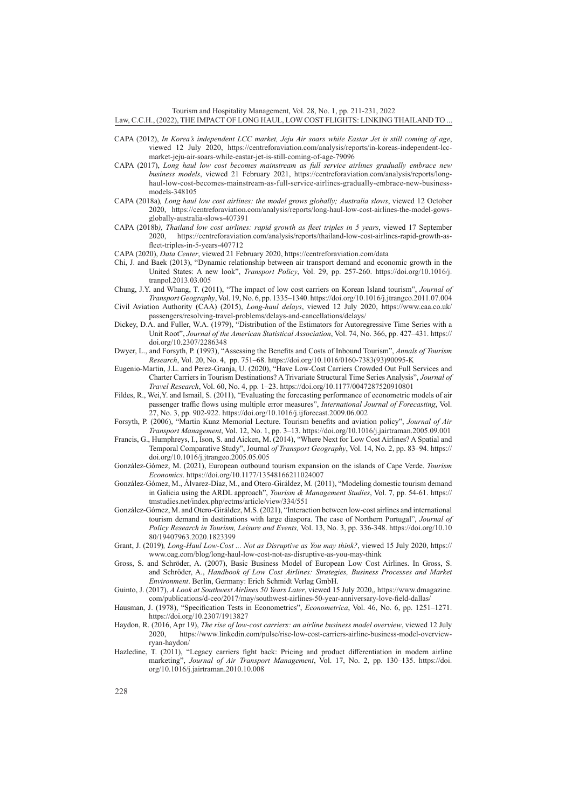Tourism and Hospitality Management, Vol. 28, No. 1, pp. 211-231, 2022 Law, C.C.H., (2022), THE IMPACT OF LONG HAUL, LOW COST FLIGHTS: LINKING THAILAND TO ...

- CAPA (2012), *In Korea's independent LCC market, Jeju Air soars while Eastar Jet is still coming of age*, viewed 12 July 2020, [https://centreforaviation.com/analysis/reports/in-koreas-independent-lcc](https://centreforaviation.com/analysis/reports/in-koreas-independent-lcc-market-jeju-air-soars-while-eastar-jet-is-still-coming-of-age-79096)[market-jeju-air-soars-while-eastar-jet-is-still-coming-of-age-79096](https://centreforaviation.com/analysis/reports/in-koreas-independent-lcc-market-jeju-air-soars-while-eastar-jet-is-still-coming-of-age-79096)
- CAPA (2017), *Long haul low cost becomes mainstream as full service airlines gradually embrace new business models*, viewed 21 February 2021, [https://centreforaviation.com/analysis/reports/long](https://centreforaviation.com/analysis/reports/long-haul-low-cost-becomes-mainstream-as-full-service-airlines-gradually-embrace-new-business-models-348105)[haul-low-cost-becomes-mainstream-as-full-service-airlines-gradually-embrace-new-business](https://centreforaviation.com/analysis/reports/long-haul-low-cost-becomes-mainstream-as-full-service-airlines-gradually-embrace-new-business-models-348105)[models-348105](https://centreforaviation.com/analysis/reports/long-haul-low-cost-becomes-mainstream-as-full-service-airlines-gradually-embrace-new-business-models-348105)
- CAPA (2018a)*, Long haul low cost airlines: the model grows globally; Australia slows*, viewed 12 October 2020, [https://centreforaviation.com/analysis/reports/long-haul-low-cost-airlines-the-model-gows](https://centreforaviation.com/analysis/reports/long-haul-low-cost-airlines-the-model-gows-globally-australia-slows-407391)[globally-australia-slows-407391](https://centreforaviation.com/analysis/reports/long-haul-low-cost-airlines-the-model-gows-globally-australia-slows-407391)
- CAPA (2018b*), Thailand low cost airlines: rapid growth as fleet triples in 5 years*, viewed 17 September 2020, [https://centreforaviation.com/analysis/reports/thailand-low-cost-airlines-rapid-growth-as](https://centreforaviation.com/analysis/reports/thailand-low-cost-airlines-rapid-growth-as-fleet-triples-in-5-years-407712)[fleet-triples-in-5-years-407712](https://centreforaviation.com/analysis/reports/thailand-low-cost-airlines-rapid-growth-as-fleet-triples-in-5-years-407712)
- CAPA (2020), *Data Center*, viewed 21 February 2020,<https://centreforaviation.com/data>
- Chi, J. and Baek (2013), "Dynamic relationship between air transport demand and economic growth in the United States: A new look", *Transport Policy*, Vol. 29, pp. 257-260. [https://doi.org/10.1016/j.](https://doi.org/10.1016/j.tranpol.2013.03.005) [tranpol.2013.03.005](https://doi.org/10.1016/j.tranpol.2013.03.005)
- Chung, J.Y. and Whang, T. (2011), "The impact of low cost carriers on Korean Island tourism", *Journal of Transport Geography*, Vol. 19, No. 6, pp. 1335–1340.<https://doi.org/10.1016/j.jtrangeo.2011.07.004>
- Civil Aviation Authority (CAA) (2015), *Long-haul delays*, viewed 12 July 2020, [https://www.caa.co.uk/](https://www.caa.co.uk/passengers/resolving-travel-problems/delays-and-cancellations/delays/) [passengers/resolving-travel-problems/delays-and-cancellations/delays/](https://www.caa.co.uk/passengers/resolving-travel-problems/delays-and-cancellations/delays/)
- Dickey, D.A. and Fuller, W.A. (1979), "Distribution of the Estimators for Autoregressive Time Series with a Unit Root", *Journal of the American Statistical Association*, Vol. 74, No. 366, pp. 427–431. [https://](https://doi.org/10.2307/2286348) [doi.org/10.2307/2286348](https://doi.org/10.2307/2286348)
- Dwyer, L., and Forsyth, P. (1993), "Assessing the Benefits and Costs of Inbound Tourism", *Annals of Tourism Research*, Vol. 20, No. 4, pp. 751–68. [https://doi.org/10.1016/0160-7383\(93\)90095-K](https://doi.org/10.1016/0160-7383(93)90095-K)
- Eugenio-Martin, J.L. and Perez-Granja, U. (2020), "Have Low-Cost Carriers Crowded Out Full Services and Charter Carriers in Tourism Destinations? A Trivariate Structural Time Series Analysis", *Journal of Travel Research*, Vol. 60, No. 4, pp. 1–23. <https://doi.org/10.1177/0047287520910801>
- Fildes, R., Wei,Y. and Ismail, S. (2011), "Evaluating the forecasting performance of econometric models of air passenger traffic flows using multiple error measures", *International Journal of Forecasting*, Vol. 27, No. 3, pp. 902-922.<https://doi.org/10.1016/j.ijforecast.2009.06.002>
- Forsyth, P. (2006), "Martin Kunz Memorial Lecture. Tourism benefits and aviation policy", *Journal of Air Transport Management*, Vol. 12, No. 1, pp. 3–13. <https://doi.org/10.1016/j.jairtraman.2005.09.001>
- Francis, G., Humphreys, I., Ison, S. and Aicken, M. (2014), "Where Next for Low Cost Airlines? A Spatial and Temporal Comparative Study", Journal *of Transport Geography*, Vol. 14, No. 2, pp. 83–94. [https://](https://doi.org/10.1016/j.jtrangeo.2005.05.005) [doi.org/10.1016/j.jtrangeo.2005.05.005](https://doi.org/10.1016/j.jtrangeo.2005.05.005)
- González-Gómez, M. (2021), European outbound tourism expansion on the islands of Cape Verde. *Tourism Economics*. <https://doi.org/10.1177/13548166211024007>
- González-Gómez, M., Álvarez-Díaz, M., and Otero-Giráldez, M. (2011), "Modeling domestic tourism demand in Galicia using the ARDL approach", *Tourism & Management Studies*, Vol. 7, pp. 54-61. [https://](https://tmstudies.net/index.php/ectms/article/view/334/551) [tmstudies.net/index.php/ectms/article/view/334/551](https://tmstudies.net/index.php/ectms/article/view/334/551)
- González-Gómez, M. and Otero-Giráldez, M.S. (2021), "Interaction between low-cost airlines and international tourism demand in destinations with large diaspora. The case of Northern Portugal", *Journal of Policy Research in Tourism, Leisure and Events,* Vol. 13, No. 3, pp. 336-348. [https://doi.org/10.10](https://doi.org/10.1080/19407963.2020.1823399) [80/19407963.2020.1823399](https://doi.org/10.1080/19407963.2020.1823399)
- Grant, J. (2019)*, Long-Haul Low-Cost ... Not as Disruptive as You may think?*, viewed 15 July 2020, [https://](https://www.oag.com/blog/long-haul-low-cost-not-as-disruptive-as-you-may-think) [www.oag.com/blog/long-haul-low-cost-not-as-disruptive-as-you-may-think](https://www.oag.com/blog/long-haul-low-cost-not-as-disruptive-as-you-may-think)
- Gross, S. and Schröder, A. (2007), Basic Business Model of European Low Cost Airlines. In Gross, S. and Schröder, A., *Handbook of Low Cost Airlines: Strategies, Business Processes and Market Environment*. Berlin, Germany: Erich Schmidt Verlag GmbH.
- Guinto, J. (2017), *A Look at Southwest Airlines 50 Years Later*, viewed 15 July 2020,, [https://www.dmagazine.](https://www.dmagazine.com/publications/d-ceo/2017/may/southwest-airlines-50-year-anniversary-love-field-dallas/) [com/publications/d-ceo/2017/may/southwest-airlines-50-year-anniversary-love-field-dallas/](https://www.dmagazine.com/publications/d-ceo/2017/may/southwest-airlines-50-year-anniversary-love-field-dallas/)
- Hausman, J. (1978), "Specification Tests in Econometrics", *Econometrica*, Vol. 46, No. 6, pp. 1251–1271. <https://doi.org/10.2307/1913827>
- Haydon, R. (2016, Apr 19), *The rise of low-cost carriers: an airline business model overview*, viewed 12 July 2020, [https://www.linkedin.com/pulse/rise-low-cost-carriers-airline-business-model-overview](https://www.linkedin.com/pulse/rise-low-cost-carriers-airline-business-model-overview-ryan-haydon/)[ryan-haydon/](https://www.linkedin.com/pulse/rise-low-cost-carriers-airline-business-model-overview-ryan-haydon/)
- Hazledine, T. (2011), "Legacy carriers fight back: Pricing and product differentiation in modern airline marketing", *Journal of Air Transport Management*, Vol. 17, No. 2, pp. 130–135. [https://doi.](https://doi.org/10.1016/j.jairtraman.2010.10.008) [org/10.1016/j.jairtraman.2010.10.008](https://doi.org/10.1016/j.jairtraman.2010.10.008)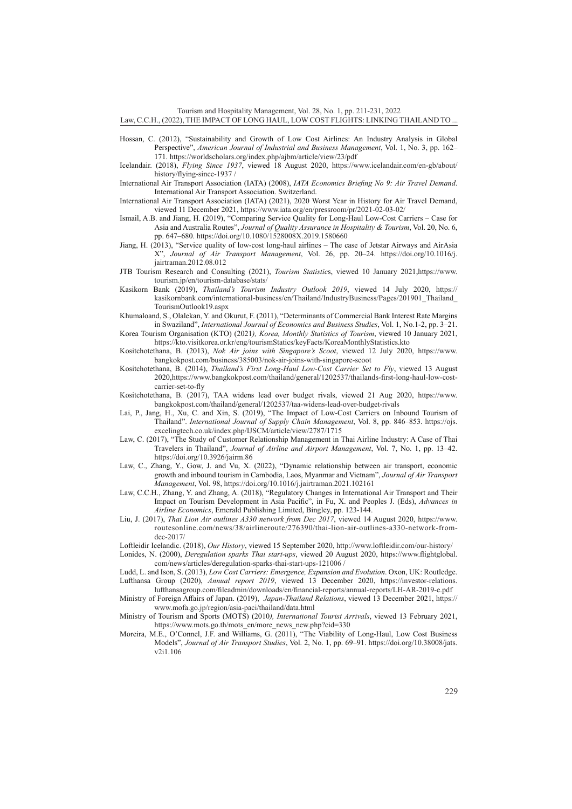Tourism and Hospitality Management, Vol. 28, No. 1, pp. 211-231, 2022

#### Law, C.C.H., (2022), THE IMPACT OF LONG HAUL, LOW COST FLIGHTS: LINKING THAILAND TO ...

- Hossan, C. (2012), "Sustainability and Growth of Low Cost Airlines: An Industry Analysis in Global Perspective", *American Journal of Industrial and Business Management*, Vol. 1, No. 3, pp. 162– 171. <https://worldscholars.org/index.php/ajbm/article/view/23/pdf>
- Icelandair. (2018), *Flying Since 1937*, viewed 18 August 2020, [https://www.icelandair.com/en-gb/about/](https://www.icelandair.com/en-gb/about/history/flying-since-1937) [history/flying-since-1937](https://www.icelandair.com/en-gb/about/history/flying-since-1937) /
- International Air Transport Association (IATA) (2008), *IATA Economics Briefing No 9: Air Travel Demand*. International Air Transport Association. Switzerland.
- International Air Transport Association (IATA) (2021), 2020 Worst Year in History for Air Travel Demand, viewed 11 December 2021, <https://www.iata.org/en/pressroom/pr/2021-02-03-02/>
- Ismail, A.B. and Jiang, H. (2019), "Comparing Service Quality for Long-Haul Low-Cost Carriers Case for Asia and Australia Routes", *Journal of Quality Assurance in Hospitality & Tourism*, Vol. 20, No. 6, pp. 647–680. <https://doi.org/10.1080/1528008X.2019.1580660>
- Jiang, H. (2013), "Service quality of low-cost long-haul airlines The case of Jetstar Airways and AirAsia X", *Journal of Air Transport Management*, Vol. 26, pp. 20–24. [https://doi.org/10.1016/j.](https://doi.org/10.1016/j.jairtraman.2012.08.012) [jairtraman.2012.08.012](https://doi.org/10.1016/j.jairtraman.2012.08.012)
- JTB Tourism Research and Consulting (2021), *Tourism Statistic*s, viewed 10 January 2021,[https://www.](https://www.tourism.jp/en/tourism-database/stats/) [tourism.jp/en/tourism-database/stats/](https://www.tourism.jp/en/tourism-database/stats/)
- Kasikorn Bank (2019), *Thailand's Tourism Industry Outlook 2019*, viewed 14 July 2020, [https://](https://kasikornbank.com/international-business/en/Thailand/IndustryBusiness/Pages/201901_Thailand_TourismOutlook19.aspx) [kasikornbank.com/international-business/en/Thailand/IndustryBusiness/Pages/201901\\_Thailand\\_](https://kasikornbank.com/international-business/en/Thailand/IndustryBusiness/Pages/201901_Thailand_TourismOutlook19.aspx) [TourismOutlook19.aspx](https://kasikornbank.com/international-business/en/Thailand/IndustryBusiness/Pages/201901_Thailand_TourismOutlook19.aspx)
- Khumaloand, S., Olalekan, Y. and Okurut, F. (2011), "Determinants of Commercial Bank Interest Rate Margins in Swaziland", *International Journal of Economics and Business Studies*, Vol. 1, No.1-2, pp. 3–21.
- Korea Tourism Organisation (KTO) (2021*), Korea, Monthly Statistics of Tourism*, viewed 10 January 2021, <https://kto.visitkorea.or.kr/eng/tourismStatics/keyFacts/KoreaMonthlyStatistics.kto>
- Kositchotethana, B. (2013), *Nok Air joins with Singapore's Scoot*, viewed 12 July 2020, [https://www.](https://www.bangkokpost.com/business/385003/nok-air-joins-with-singapore-scoot) [bangkokpost.com/business/385003/nok-air-joins-with-singapore-scoot](https://www.bangkokpost.com/business/385003/nok-air-joins-with-singapore-scoot)
- Kositchotethana, B. (2014), *Thailand's First Long-Haul Low-Cost Carrier Set to Fly*, viewed 13 August 2020,[https://www.bangkokpost.com/thailand/general/1202537/thailands-first-long-haul-low-cost](https://www.bangkokpost.com/thailand/general/1202537/thailands-first-long-haul-low-cost-carrier-set-to-fly)[carrier-set-to-fly](https://www.bangkokpost.com/thailand/general/1202537/thailands-first-long-haul-low-cost-carrier-set-to-fly)
- Kositchotethana, B. (2017), TAA widens lead over budget rivals, viewed 21 Aug 2020, [https://www.](https://www.bangkokpost.com/thailand/general/1202537/taa-widens-lead-over-budget-rivals) [bangkokpost.com/thailand/general/1202537/taa-widens-lead-over-budget-rivals](https://www.bangkokpost.com/thailand/general/1202537/taa-widens-lead-over-budget-rivals)
- Lai, P., Jang, H., Xu, C. and Xin, S. (2019), "The Impact of Low-Cost Carriers on Inbound Tourism of Thailand". *International Journal of Supply Chain Management*, Vol. 8, pp. 846–853. [https://ojs.](https://ojs.excelingtech.co.uk/index.php/IJSCM/article/view/2787/1715) [excelingtech.co.uk/index.php/IJSCM/article/view/2787/1715](https://ojs.excelingtech.co.uk/index.php/IJSCM/article/view/2787/1715)
- Law, C. (2017), "The Study of Customer Relationship Management in Thai Airline Industry: A Case of Thai Travelers in Thailand", *Journal of Airline and Airport Management*, Vol. 7, No. 1, pp. 13–42. <https://doi.org/10.3926/jairm.86>
- Law, C., Zhang, Y., Gow, J. and Vu, X. (2022), "Dynamic relationship between air transport, economic growth and inbound tourism in Cambodia, Laos, Myanmar and Vietnam", *Journal of Air Transport Management*, Vol. 98,<https://doi.org/10.1016/j.jairtraman.2021.102161>
- Law, C.C.H., Zhang, Y. and Zhang, A. (2018), "Regulatory Changes in International Air Transport and Their Impact on Tourism Development in Asia Pacific", in Fu, X. and Peoples J. (Eds), *Advances in Airline Economics*, Emerald Publishing Limited, Bingley, pp. 123-144.
- Liu, J. (2017), *Thai Lion Air outlines A330 network from Dec 2017*, viewed 14 August 2020, [https://www.](https://www.routesonline.com/news/38/airlineroute/276390/thai-lion-air-outlines-a330-network-from-dec-2017/) [routesonline.com/news/38/airlineroute/276390/thai-lion-air-outlines-a330-network-from](https://www.routesonline.com/news/38/airlineroute/276390/thai-lion-air-outlines-a330-network-from-dec-2017/)[dec-2017/](https://www.routesonline.com/news/38/airlineroute/276390/thai-lion-air-outlines-a330-network-from-dec-2017/)

Loftleidir Icelandic. (2018), *Our History*, viewed 15 September 2020, <http://www.loftleidir.com/our-history/>

Lonides, N. (2000), *Deregulation sparks Thai start-ups*, viewed 20 August 2020, [https://www.flightglobal.](https://www.flightglobal.com/news/articles/deregulation-sparks-thai-start-ups-121006) [com/news/articles/deregulation-sparks-thai-start-ups-121006](https://www.flightglobal.com/news/articles/deregulation-sparks-thai-start-ups-121006) /

Ludd, L. and Ison, S. (2013), *Low Cost Carriers: Emergence, Expansion and Evolution*. Oxon, UK: Routledge. Lufthansa Group (2020), *Annual report 2019*, viewed 13 December 2020, [https://investor-relations.](https://investor-relations.lufthansagroup.com/fileadmin/downloads/en/financial-reports/annual-reports/LH-AR-2019-e.pdf) [lufthansagroup.com/fileadmin/downloads/en/financial-reports/annual-reports/LH-AR-2019-e.pdf](https://investor-relations.lufthansagroup.com/fileadmin/downloads/en/financial-reports/annual-reports/LH-AR-2019-e.pdf)

Ministry of Foreign Affairs of Japan. (2019), *Japan-Thailand Relations*, viewed 13 December 2021, [https://](https://www.mofa.go.jp/region/asia-paci/thailand/data.html) [www.mofa.go.jp/region/asia-paci/thailand/data.html](https://www.mofa.go.jp/region/asia-paci/thailand/data.html)

Ministry of Tourism and Sports (MOTS) (2010*), International Tourist Arrivals*, viewed 13 February 2021, [https://www.mots.go.th/mots\\_en/more\\_news\\_new.php?cid=330](https://www.mots.go.th/mots_en/more_news_new.php?cid=330)

Moreira, M.E., O'Connel, J.F. and Williams, G. (2011), "The Viability of Long-Haul, Low Cost Business Models", *Journal of Air Transport Studies*, Vol. 2, No. 1, pp. 69–91. [https://doi.org/10.38008/jats.](https://doi.org/10.38008/jats.v2i1.106) [v2i1.106](https://doi.org/10.38008/jats.v2i1.106)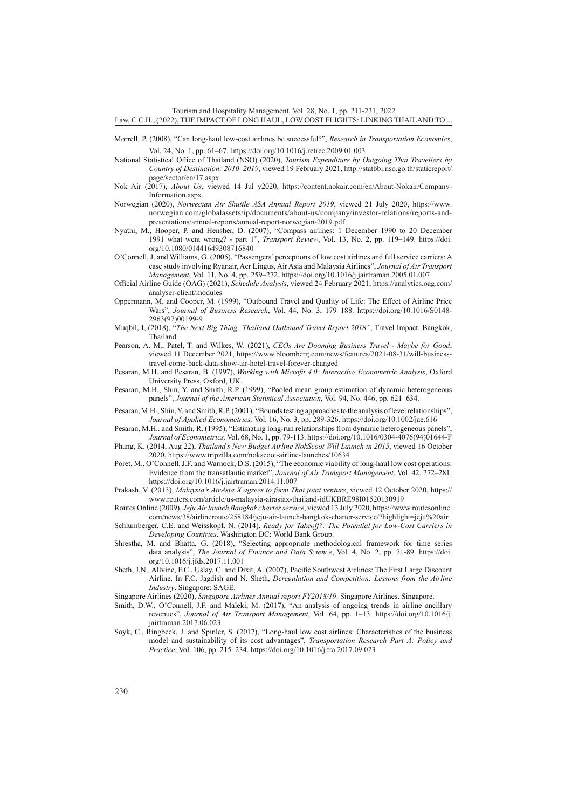Tourism and Hospitality Management, Vol. 28, No. 1, pp. 211-231, 2022

#### Law, C.C.H., (2022), THE IMPACT OF LONG HAUL, LOW COST FLIGHTS: LINKING THAILAND TO ...

- Morrell, P. (2008), "Can long-haul low-cost airlines be successful?", *Research in Transportation Economics*, Vol. 24, No. 1, pp. 61–67. <https://doi.org/10.1016/j.retrec.2009.01.003>
- National Statistical Office of Thailand (NSO) (2020), *Tourism Expenditure by Outgoing Thai Travellers by Country of Destination: 2010–2019*, viewed 19 February 2021, [http://statbbi.nso.go.th/staticreport/](http://statbbi.nso.go.th/staticreport/page/sector/en/17.aspx) [page/sector/en/17.aspx](http://statbbi.nso.go.th/staticreport/page/sector/en/17.aspx)
- Nok Air (2017), *About Us*, viewed 14 Jul y2020, [https://content.nokair.com/en/About-Nokair/Company-](https://content.nokair.com/en/About-Nokair/Company-Information.aspx)[Information.aspx.](https://content.nokair.com/en/About-Nokair/Company-Information.aspx)
- Norwegian (2020), *Norwegian Air Shuttle ASA Annual Report 2019*, viewed 21 July 2020, [https://www.](https://www.norwegian.com/globalassets/ip/documents/about-us/company/investor-relations/reports-and-presentations/annual-reports/annual-report-norwegian-2019.pdf) [norwegian.com/globalassets/ip/documents/about-us/company/investor-relations/reports-and](https://www.norwegian.com/globalassets/ip/documents/about-us/company/investor-relations/reports-and-presentations/annual-reports/annual-report-norwegian-2019.pdf)[presentations/annual-reports/annual-report-norwegian-2019.pdf](https://www.norwegian.com/globalassets/ip/documents/about-us/company/investor-relations/reports-and-presentations/annual-reports/annual-report-norwegian-2019.pdf)
- Nyathi, M., Hooper, P. and Hensher, D. (2007), "Compass airlines: 1 December 1990 to 20 December 1991 what went wrong? - part 1", *Transport Review*, Vol. 13, No. 2, pp. 119–149. [https://doi.](https://doi.org/10.1080/01441649308716840) [org/10.1080/01441649308716840](https://doi.org/10.1080/01441649308716840)
- O'Connell, J. and Williams, G. (2005), "Passengers' perceptions of low cost airlines and full service carriers: A case study involving Ryanair, Aer Lingus, Air Asia and Malaysia Airlines", *Journal of Air Transport Management*, Vol. 11, No. 4, pp. 259–272.<https://doi.org/10.1016/j.jairtraman.2005.01.007>
- Official Airline Guide (OAG) (2021), *Schedule Analysis*, viewed 24 February 2021, [https://analytics.oag.com/](https://analytics.oag.com/analyser-client/modules) [analyser-client/modules](https://analytics.oag.com/analyser-client/modules)
- Oppermann, M. and Cooper, M. (1999), "Outbound Travel and Quality of Life: The Effect of Airline Price Wars", *Journal of Business Research*, Vol. 44, No. 3, 179–188. [https://doi.org/10.1016/S0148-](https://doi.org/10.1016/S0148-2963(97)00199-9) [2963\(97\)00199-9](https://doi.org/10.1016/S0148-2963(97)00199-9)
- Muqbil, I, (2018), "*The Next Big Thing: Thailand Outbound Travel Report 2018"*, Travel Impact. Bangkok, Thailand.
- Pearson, A. M., Patel, T. and Wilkes, W. (2021), *CEOs Are Dooming Business Travel Maybe for Good*, viewed 11 December 2021, [https://www.bloomberg.com/news/features/2021-08-31/will-business](https://www.bloomberg.com/news/features/2021-08-31/will-business-travel-come-back-data-show-air-hotel-travel-forever-changed)[travel-come-back-data-show-air-hotel-travel-forever-changed](https://www.bloomberg.com/news/features/2021-08-31/will-business-travel-come-back-data-show-air-hotel-travel-forever-changed)
- Pesaran, M.H. and Pesaran, B. (1997), *Working with Microfit 4.0: Interactive Econometric Analysis*, Oxford University Press, Oxford, UK.
- Pesaran, M.H., Shin, Y. and Smith, R.P. (1999), "Pooled mean group estimation of dynamic heterogeneous panels", *Journal of the American Statistical Association*, Vol. 94, No. 446, pp. 621–634.
- Pesaran, M.H., Shin, Y. and Smith, R.P. (2001), "Bounds testing approaches to the analysis of level relationships", *Journal of Applied Econometrics,* Vol. 16, No. 3, pp. 289-326.<https://doi.org/10.1002/jae.616>
- Pesaran, M.H.. and Smith, R. (1995), "Estimating long-run relationships from dynamic heterogeneous panels", *Journal of Econometrics,* Vol. 68, No. 1, pp. 79-113. [https://doi.org/10.1016/0304-4076\(94\)01644-F](https://doi.org/10.1016/0304-4076(94)01644-F)
- Phang, K. (2014, Aug 22), *Thailand's New Budget Airline NokScoot Will Launch in 2015*, viewed 16 October 2020, <https://www.tripzilla.com/nokscoot-airline-launches/10634>
- Poret, M., O'Connell, J.F. and Warnock, D.S. (2015), "The economic viability of long-haul low cost operations: Evidence from the transatlantic market", *Journal of Air Transport Management*, Vol. 42, 272–281. <https://doi.org/10.1016/j.jairtraman.2014.11.007>
- Prakash, V. (2013), *Malaysia's AirAsia X agrees to form Thai joint venture*, viewed 12 October 2020, [https://](https://www.reuters.com/article/us-malaysia-airasiax-thailand-idUKBRE98I01520130919) [www.reuters.com/article/us-malaysia-airasiax-thailand-idUKBRE98I01520130919](https://www.reuters.com/article/us-malaysia-airasiax-thailand-idUKBRE98I01520130919)
- Routes Online (2009), *Jeju Air launch Bangkok charter service*, viewed 13 July 2020, [https://www.routesonline.](https://www.routesonline.com/news/38/airlineroute/258184/jeju-air-launch-bangkok-charter-service/?highlight=jeju%20air) [com/news/38/airlineroute/258184/jeju-air-launch-bangkok-charter-service/?highlight=jeju%20air](https://www.routesonline.com/news/38/airlineroute/258184/jeju-air-launch-bangkok-charter-service/?highlight=jeju%20air)
- Schlumberger, C.E. and Weisskopf, N. (2014), *Ready for Takeoff?: The Potential for Low-Cost Carriers in Developing Countries*. Washington DC: World Bank Group.
- Shrestha, M. and Bhatta, G. (2018), "Selecting appropriate methodological framework for time series data analysis", *The Journal of Finance and Data Science*, Vol. 4, No. 2, pp. 71-89. [https://doi.](https://doi.org/10.1016/j.jfds.2017.11.001) [org/10.1016/j.jfds.2017.11.001](https://doi.org/10.1016/j.jfds.2017.11.001)
- Sheth, J.N., Allvine, F.C., Uslay, C. and Dixit, A. (2007), Pacific Southwest Airlines: The First Large Discount Airline. In F.C. Jagdish and N. Sheth, *Deregulation and Competition: Lessons from the Airline Industry*. Singapore: SAGE.
- Singapore Airlines (2020), *Singapore Airlines Annual report FY2018/19*. Singapore Airlines. Singapore.
- Smith, D.W., O'Connell, J.F. and Maleki, M. (2017), "An analysis of ongoing trends in airline ancillary revenues", *Journal of Air Transport Management*, Vol. 64, pp. 1–13. [https://doi.org/10.1016/j.](https://doi.org/10.1016/j.jairtraman.2017.06.023) [jairtraman.2017.06.023](https://doi.org/10.1016/j.jairtraman.2017.06.023)
- Soyk, C., Ringbeck, J. and Spinler, S. (2017), "Long-haul low cost airlines: Characteristics of the business model and sustainability of its cost advantages", *Transportation Research Part A: Policy and Practice*, Vol. 106, pp. 215–234. <https://doi.org/10.1016/j.tra.2017.09.023>